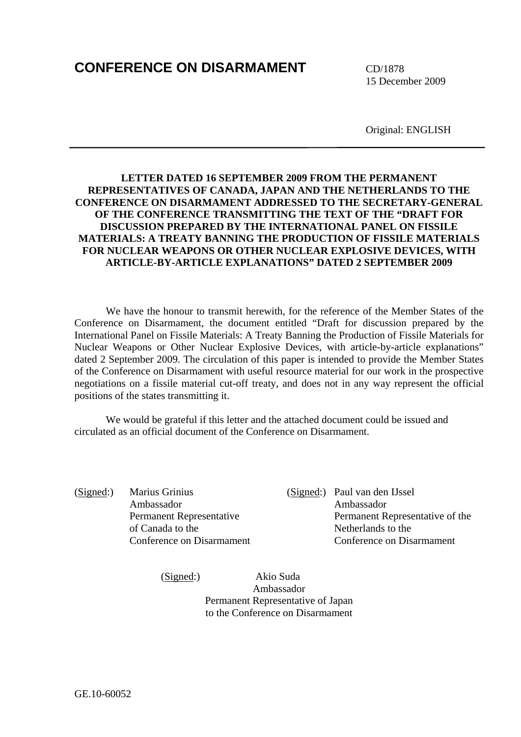# **CONFERENCE ON DISARMAMENT** CD/1878

15 December 2009

Original: ENGLISH

## **LETTER DATED 16 SEPTEMBER 2009 FROM THE PERMANENT REPRESENTATIVES OF CANADA, JAPAN AND THE NETHERLANDS TO THE CONFERENCE ON DISARMAMENT ADDRESSED TO THE SECRETARY-GENERAL OF THE CONFERENCE TRANSMITTING THE TEXT OF THE "DRAFT FOR DISCUSSION PREPARED BY THE INTERNATIONAL PANEL ON FISSILE MATERIALS: A TREATY BANNING THE PRODUCTION OF FISSILE MATERIALS FOR NUCLEAR WEAPONS OR OTHER NUCLEAR EXPLOSIVE DEVICES, WITH ARTICLE-BY-ARTICLE EXPLANATIONS" DATED 2 SEPTEMBER 2009**

We have the honour to transmit herewith, for the reference of the Member States of the Conference on Disarmament, the document entitled "Draft for discussion prepared by the International Panel on Fissile Materials: A Treaty Banning the Production of Fissile Materials for Nuclear Weapons or Other Nuclear Explosive Devices, with article-by-article explanations" dated 2 September 2009. The circulation of this paper is intended to provide the Member States of the Conference on Disarmament with useful resource material for our work in the prospective negotiations on a fissile material cut-off treaty, and does not in any way represent the official positions of the states transmitting it.

We would be grateful if this letter and the attached document could be issued and circulated as an official document of the Conference on Disarmament.

(Signed:) Marius Grinius (Signed:) Paul van den IJssel Ambassador Ambassador of Canada to the Netherlands to the

 Permanent Representative Permanent Representative of the Conference on Disarmament Conference on Disarmament

 (Signed:) Akio Suda Ambassador Permanent Representative of Japan to the Conference on Disarmament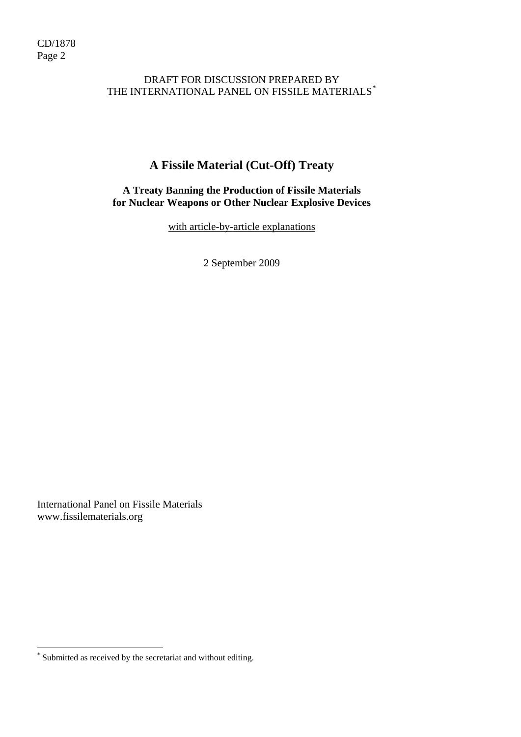## DRAFT FOR DISCUSSION PREPARED BY THE INTERNATIONAL PANEL ON FISSILE MATERIALS<sup>[\\*](#page-1-0)</sup>

## **A Fissile Material (Cut-Off) Treaty**

## **A Treaty Banning the Production of Fissile Materials for Nuclear Weapons or Other Nuclear Explosive Devices**

with article-by-article explanations

2 September 2009

International Panel on Fissile Materials www.fissilematerials.org

 $\overline{a}$ 

<span id="page-1-0"></span><sup>\*</sup> Submitted as received by the secretariat and without editing.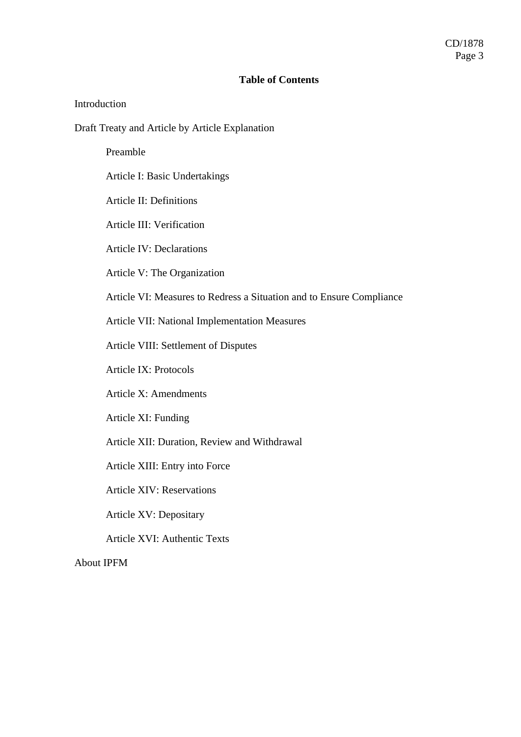#### **Table of Contents**

#### Introduction

Draft Treaty and Article by Article Explanation

Preamble

Article I: Basic Undertakings

Article II: Definitions

Article III: Verification

Article IV: Declarations

Article V: The Organization

Article VI: Measures to Redress a Situation and to Ensure Compliance

Article VII: National Implementation Measures

Article VIII: Settlement of Disputes

Article IX: Protocols

Article X: Amendments

Article XI: Funding

Article XII: Duration, Review and Withdrawal

Article XIII: Entry into Force

Article XIV: Reservations

Article XV: Depositary

Article XVI: Authentic Texts

About IPFM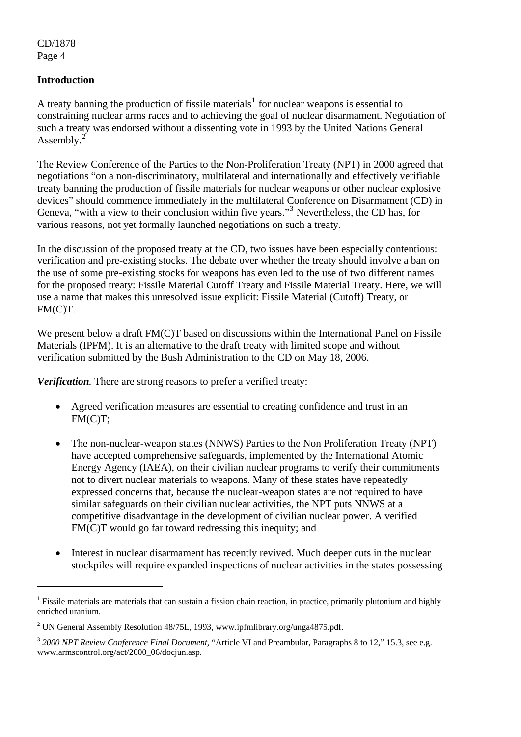$\overline{a}$ 

## **Introduction**

A treaty banning the production of fissile materials<sup>[1](#page-3-0)</sup> for nuclear weapons is essential to constraining nuclear arms races and to achieving the goal of nuclear disarmament. Negotiation of such a treaty was endorsed without a dissenting vote in 1993 by the United Nations General Assembly. $2^{2}$  $2^{2}$ 

The Review Conference of the Parties to the Non-Proliferation Treaty (NPT) in 2000 agreed that negotiations "on a non-discriminatory, multilateral and internationally and effectively verifiable treaty banning the production of fissile materials for nuclear weapons or other nuclear explosive devices" should commence immediately in the multilateral Conference on Disarmament (CD) in Geneva, "with a view to their conclusion within five years."<sup>[3](#page-3-2)</sup> Nevertheless, the CD has, for various reasons, not yet formally launched negotiations on such a treaty.

In the discussion of the proposed treaty at the CD, two issues have been especially contentious: verification and pre-existing stocks. The debate over whether the treaty should involve a ban on the use of some pre-existing stocks for weapons has even led to the use of two different names for the proposed treaty: Fissile Material Cutoff Treaty and Fissile Material Treaty. Here, we will use a name that makes this unresolved issue explicit: Fissile Material (Cutoff) Treaty, or FM(C)T.

We present below a draft FM(C)T based on discussions within the International Panel on Fissile Materials (IPFM). It is an alternative to the draft treaty with limited scope and without verification submitted by the Bush Administration to the CD on May 18, 2006.

*Verification.* There are strong reasons to prefer a verified treaty:

- Agreed verification measures are essential to creating confidence and trust in an FM(C)T;
- The non-nuclear-weapon states (NNWS) Parties to the Non Proliferation Treaty (NPT) have accepted comprehensive safeguards, implemented by the International Atomic Energy Agency (IAEA), on their civilian nuclear programs to verify their commitments not to divert nuclear materials to weapons. Many of these states have repeatedly expressed concerns that, because the nuclear-weapon states are not required to have similar safeguards on their civilian nuclear activities, the NPT puts NNWS at a competitive disadvantage in the development of civilian nuclear power. A verified FM(C)T would go far toward redressing this inequity; and
- Interest in nuclear disarmament has recently revived. Much deeper cuts in the nuclear stockpiles will require expanded inspections of nuclear activities in the states possessing

<span id="page-3-0"></span><sup>&</sup>lt;sup>1</sup> Fissile materials are materials that can sustain a fission chain reaction, in practice, primarily plutonium and highly enriched uranium.

<sup>&</sup>lt;sup>2</sup> UN General Assembly Resolution 48/75L, 1993, www.ipfmlibrary.org/unga4875.pdf.

<span id="page-3-2"></span><span id="page-3-1"></span><sup>&</sup>lt;sup>3</sup> 2000 NPT Review Conference Final Document, "Article VI and Preambular, Paragraphs 8 to 12," 15.3, see e.g. www.armscontrol.org/act/2000\_06/docjun.asp.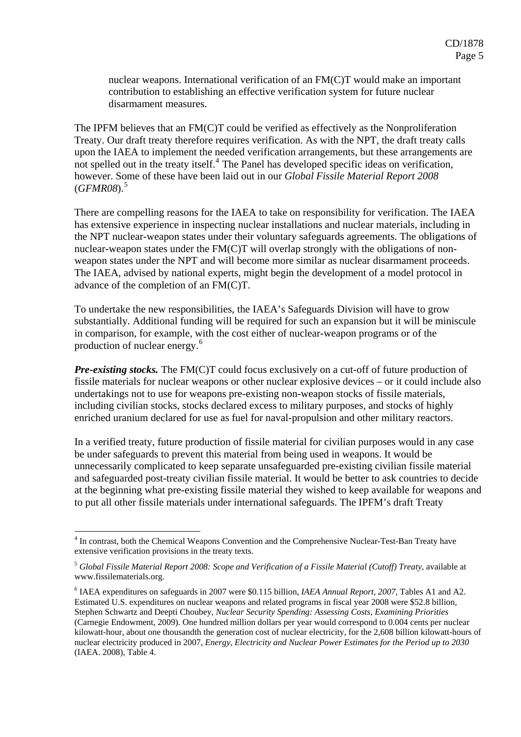nuclear weapons. International verification of an FM(C)T would make an important contribution to establishing an effective verification system for future nuclear disarmament measures.

The IPFM believes that an FM(C)T could be verified as effectively as the Nonproliferation Treaty. Our draft treaty therefore requires verification. As with the NPT, the draft treaty calls upon the IAEA to implement the needed verification arrangements, but these arrangements are not spelled out in the treaty itself.<sup>[4](#page-4-0)</sup> The Panel has developed specific ideas on verification, however. Some of these have been laid out in our *Global Fissile Material Report 2008*  (*GFMR08*).[5](#page-4-1)

There are compelling reasons for the IAEA to take on responsibility for verification. The IAEA has extensive experience in inspecting nuclear installations and nuclear materials, including in the NPT nuclear-weapon states under their voluntary safeguards agreements. The obligations of nuclear-weapon states under the FM(C)T will overlap strongly with the obligations of nonweapon states under the NPT and will become more similar as nuclear disarmament proceeds. The IAEA, advised by national experts, might begin the development of a model protocol in advance of the completion of an FM(C)T.

To undertake the new responsibilities, the IAEA's Safeguards Division will have to grow substantially. Additional funding will be required for such an expansion but it will be miniscule in comparison, for example, with the cost either of nuclear-weapon programs or of the production of nuclear energy.<sup>[6](#page-4-2)</sup>

*Pre-existing stocks.* The FM(C)T could focus exclusively on a cut-off of future production of fissile materials for nuclear weapons or other nuclear explosive devices – or it could include also undertakings not to use for weapons pre-existing non-weapon stocks of fissile materials, including civilian stocks, stocks declared excess to military purposes, and stocks of highly enriched uranium declared for use as fuel for naval-propulsion and other military reactors.

In a verified treaty, future production of fissile material for civilian purposes would in any case be under safeguards to prevent this material from being used in weapons. It would be unnecessarily complicated to keep separate unsafeguarded pre-existing civilian fissile material and safeguarded post-treaty civilian fissile material. It would be better to ask countries to decide at the beginning what pre-existing fissile material they wished to keep available for weapons and to put all other fissile materials under international safeguards. The IPFM's draft Treaty

1

<span id="page-4-0"></span><sup>&</sup>lt;sup>4</sup> In contrast, both the Chemical Weapons Convention and the Comprehensive Nuclear-Test-Ban Treaty have extensive verification provisions in the treaty texts.

<span id="page-4-1"></span><sup>5</sup> *Global Fissile Material Report 2008: Scope and Verification of a Fissile Material (Cutoff) Treaty,* available at www.fissilematerials.org.

<span id="page-4-2"></span><sup>6</sup> IAEA expenditures on safeguards in 2007 were \$0.115 billion, *IAEA Annual Report, 2007,* Tables A1 and A2. Estimated U.S. expenditures on nuclear weapons and related programs in fiscal year 2008 were \$52.8 billion, Stephen Schwartz and Deepti Choubey, *Nuclear Security Spending: Assessing Costs, Examining Priorities*  (Carnegie Endowment, 2009). One hundred million dollars per year would correspond to 0.004 cents per nuclear kilowatt-hour, about one thousandth the generation cost of nuclear electricity, for the 2,608 billion kilowatt-hours of nuclear electricity produced in 2007, *Energy, Electricity and Nuclear Power Estimates for the Period up to 2030*  (IAEA. 2008), Table 4.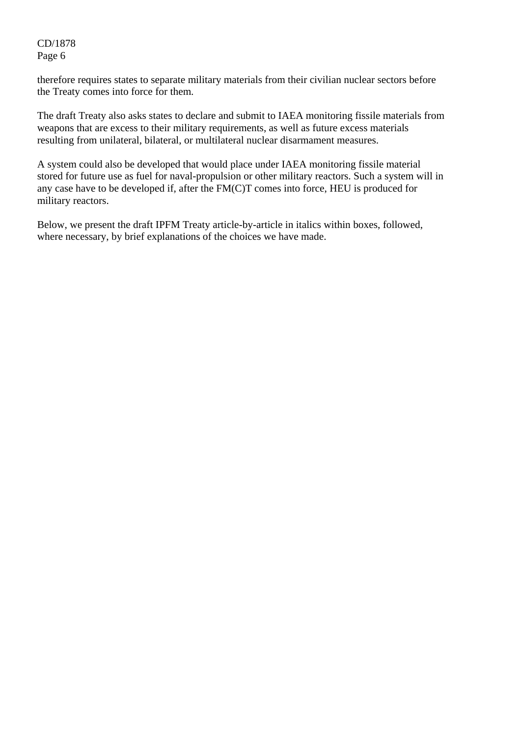therefore requires states to separate military materials from their civilian nuclear sectors before the Treaty comes into force for them.

The draft Treaty also asks states to declare and submit to IAEA monitoring fissile materials from weapons that are excess to their military requirements, as well as future excess materials resulting from unilateral, bilateral, or multilateral nuclear disarmament measures.

A system could also be developed that would place under IAEA monitoring fissile material stored for future use as fuel for naval-propulsion or other military reactors. Such a system will in any case have to be developed if, after the FM(C)T comes into force, HEU is produced for military reactors.

Below, we present the draft IPFM Treaty article-by-article in italics within boxes, followed, where necessary, by brief explanations of the choices we have made.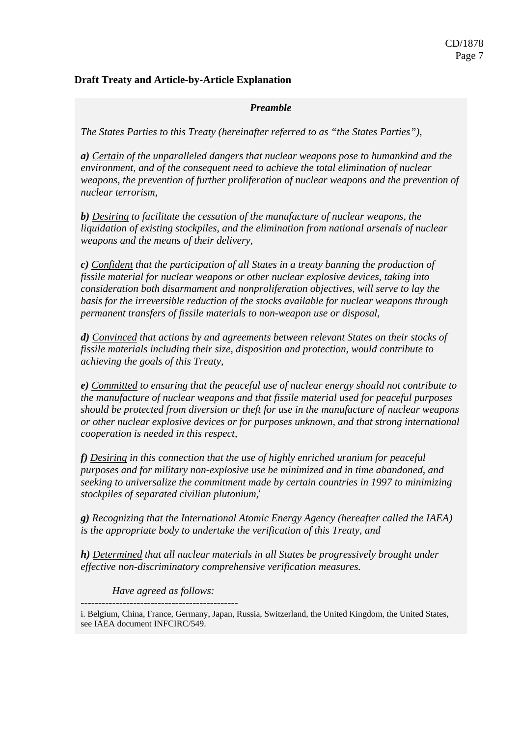## **Draft Treaty and Article-by-Article Explanation**

#### *Preamble*

*The States Parties to this Treaty (hereinafter referred to as "the States Parties"),* 

*a) Certain of the unparalleled dangers that nuclear weapons pose to humankind and the environment, and of the consequent need to achieve the total elimination of nuclear weapons, the prevention of further proliferation of nuclear weapons and the prevention of nuclear terrorism,* 

*b) Desiring to facilitate the cessation of the manufacture of nuclear weapons, the liquidation of existing stockpiles, and the elimination from national arsenals of nuclear weapons and the means of their delivery,* 

*c) Confident that the participation of all States in a treaty banning the production of fissile material for nuclear weapons or other nuclear explosive devices, taking into consideration both disarmament and nonproliferation objectives, will serve to lay the basis for the irreversible reduction of the stocks available for nuclear weapons through permanent transfers of fissile materials to non-weapon use or disposal,* 

*d) Convinced that actions by and agreements between relevant States on their stocks of fissile materials including their size, disposition and protection, would contribute to achieving the goals of this Treaty,* 

*e) Committed to ensuring that the peaceful use of nuclear energy should not contribute to the manufacture of nuclear weapons and that fissile material used for peaceful purposes should be protected from diversion or theft for use in the manufacture of nuclear weapons or other nuclear explosive devices or for purposes unknown, and that strong international cooperation is needed in this respect,* 

*f) Desiring in this connection that the use of highly enriched uranium for peaceful purposes and for military non-explosive use be minimized and in time abandoned, and seeking to universalize the commitment made by certain countries in 1997 to minimizing stockpiles of separated civilian plutonium,i*

*g) Recognizing that the International Atomic Energy Agency (hereafter called the IAEA) is the appropriate body to undertake the verification of this Treaty, and* 

*h) Determined that all nuclear materials in all States be progressively brought under effective non-discriminatory comprehensive verification measures.* 

*Have agreed as follows:* 

*---------------------------------------------* 

i. Belgium, China, France, Germany, Japan, Russia, Switzerland, the United Kingdom, the United States, see IAEA document INFCIRC/549.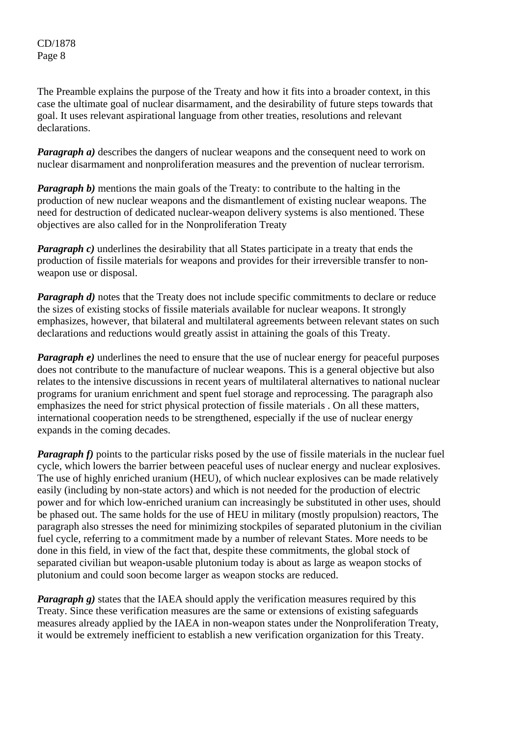The Preamble explains the purpose of the Treaty and how it fits into a broader context, in this case the ultimate goal of nuclear disarmament, and the desirability of future steps towards that goal. It uses relevant aspirational language from other treaties, resolutions and relevant declarations.

*Paragraph a)* describes the dangers of nuclear weapons and the consequent need to work on nuclear disarmament and nonproliferation measures and the prevention of nuclear terrorism.

*Paragraph b*) mentions the main goals of the Treaty: to contribute to the halting in the production of new nuclear weapons and the dismantlement of existing nuclear weapons. The need for destruction of dedicated nuclear-weapon delivery systems is also mentioned. These objectives are also called for in the Nonproliferation Treaty

*Paragraph c*) underlines the desirability that all States participate in a treaty that ends the production of fissile materials for weapons and provides for their irreversible transfer to nonweapon use or disposal.

*Paragraph d)* notes that the Treaty does not include specific commitments to declare or reduce the sizes of existing stocks of fissile materials available for nuclear weapons. It strongly emphasizes, however, that bilateral and multilateral agreements between relevant states on such declarations and reductions would greatly assist in attaining the goals of this Treaty.

*Paragraph e)* underlines the need to ensure that the use of nuclear energy for peaceful purposes does not contribute to the manufacture of nuclear weapons. This is a general objective but also relates to the intensive discussions in recent years of multilateral alternatives to national nuclear programs for uranium enrichment and spent fuel storage and reprocessing. The paragraph also emphasizes the need for strict physical protection of fissile materials . On all these matters, international cooperation needs to be strengthened, especially if the use of nuclear energy expands in the coming decades.

*Paragraph f)* points to the particular risks posed by the use of fissile materials in the nuclear fuel cycle, which lowers the barrier between peaceful uses of nuclear energy and nuclear explosives. The use of highly enriched uranium (HEU), of which nuclear explosives can be made relatively easily (including by non-state actors) and which is not needed for the production of electric power and for which low-enriched uranium can increasingly be substituted in other uses, should be phased out. The same holds for the use of HEU in military (mostly propulsion) reactors, The paragraph also stresses the need for minimizing stockpiles of separated plutonium in the civilian fuel cycle, referring to a commitment made by a number of relevant States. More needs to be done in this field, in view of the fact that, despite these commitments, the global stock of separated civilian but weapon-usable plutonium today is about as large as weapon stocks of plutonium and could soon become larger as weapon stocks are reduced.

*Paragraph g*) states that the IAEA should apply the verification measures required by this Treaty. Since these verification measures are the same or extensions of existing safeguards measures already applied by the IAEA in non-weapon states under the Nonproliferation Treaty, it would be extremely inefficient to establish a new verification organization for this Treaty.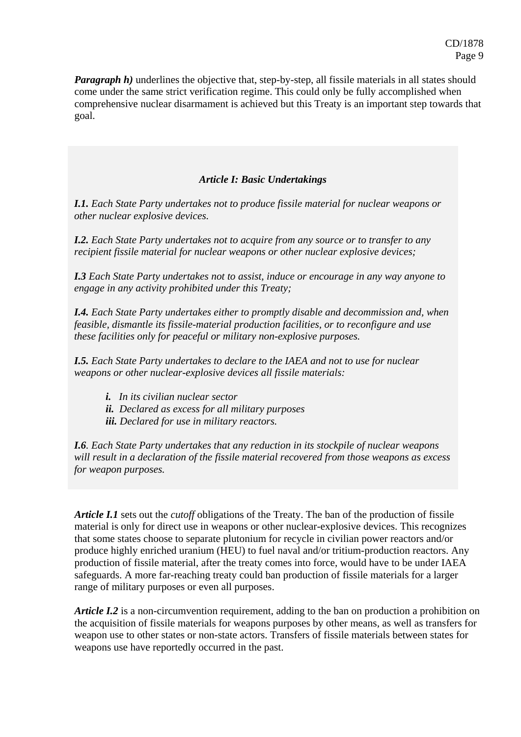*Paragraph h)* underlines the objective that, step-by-step, all fissile materials in all states should come under the same strict verification regime. This could only be fully accomplished when comprehensive nuclear disarmament is achieved but this Treaty is an important step towards that goal.

## *Article I: Basic Undertakings*

*I.1. Each State Party undertakes not to produce fissile material for nuclear weapons or other nuclear explosive devices.* 

*I.2. Each State Party undertakes not to acquire from any source or to transfer to any recipient fissile material for nuclear weapons or other nuclear explosive devices;* 

*I.3 Each State Party undertakes not to assist, induce or encourage in any way anyone to engage in any activity prohibited under this Treaty;* 

*I.4. Each State Party undertakes either to promptly disable and decommission and, when feasible, dismantle its fissile-material production facilities, or to reconfigure and use these facilities only for peaceful or military non-explosive purposes.* 

*I.5. Each State Party undertakes to declare to the IAEA and not to use for nuclear weapons or other nuclear-explosive devices all fissile materials:* 

- *i. In its civilian nuclear sector*
- *ii. Declared as excess for all military purposes*
- *iii. Declared for use in military reactors.*

*I.6. Each State Party undertakes that any reduction in its stockpile of nuclear weapons will result in a declaration of the fissile material recovered from those weapons as excess for weapon purposes.*

*Article I.1* sets out the *cutoff* obligations of the Treaty. The ban of the production of fissile material is only for direct use in weapons or other nuclear-explosive devices. This recognizes that some states choose to separate plutonium for recycle in civilian power reactors and/or produce highly enriched uranium (HEU) to fuel naval and/or tritium-production reactors. Any production of fissile material, after the treaty comes into force, would have to be under IAEA safeguards. A more far-reaching treaty could ban production of fissile materials for a larger range of military purposes or even all purposes.

*Article I.2* is a non-circumvention requirement, adding to the ban on production a prohibition on the acquisition of fissile materials for weapons purposes by other means, as well as transfers for weapon use to other states or non-state actors. Transfers of fissile materials between states for weapons use have reportedly occurred in the past.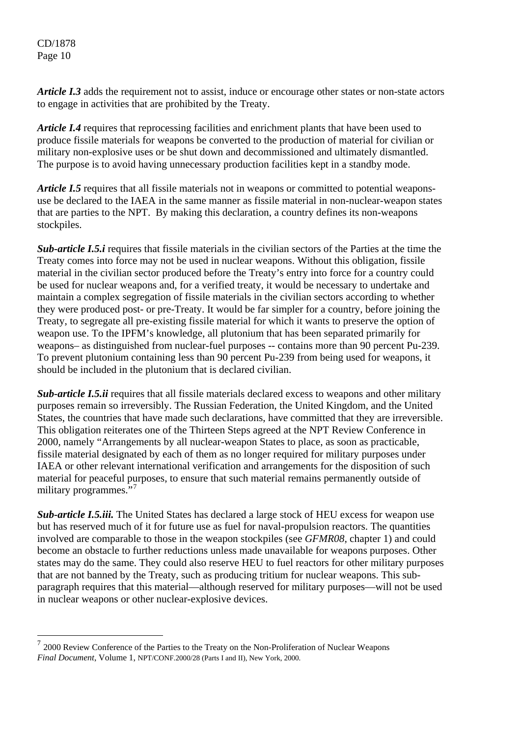$\overline{a}$ 

*Article I.3* adds the requirement not to assist, induce or encourage other states or non-state actors to engage in activities that are prohibited by the Treaty.

*Article I.4* requires that reprocessing facilities and enrichment plants that have been used to produce fissile materials for weapons be converted to the production of material for civilian or military non-explosive uses or be shut down and decommissioned and ultimately dismantled. The purpose is to avoid having unnecessary production facilities kept in a standby mode.

*Article I.5* requires that all fissile materials not in weapons or committed to potential weaponsuse be declared to the IAEA in the same manner as fissile material in non-nuclear-weapon states that are parties to the NPT. By making this declaration, a country defines its non-weapons stockpiles.

*Sub-article I.5.i* requires that fissile materials in the civilian sectors of the Parties at the time the Treaty comes into force may not be used in nuclear weapons. Without this obligation, fissile material in the civilian sector produced before the Treaty's entry into force for a country could be used for nuclear weapons and, for a verified treaty, it would be necessary to undertake and maintain a complex segregation of fissile materials in the civilian sectors according to whether they were produced post- or pre-Treaty. It would be far simpler for a country, before joining the Treaty, to segregate all pre-existing fissile material for which it wants to preserve the option of weapon use. To the IPFM's knowledge, all plutonium that has been separated primarily for weapons– as distinguished from nuclear-fuel purposes -- contains more than 90 percent Pu-239. To prevent plutonium containing less than 90 percent Pu-239 from being used for weapons, it should be included in the plutonium that is declared civilian.

*Sub-article I.5.ii* requires that all fissile materials declared excess to weapons and other military purposes remain so irreversibly. The Russian Federation, the United Kingdom, and the United States, the countries that have made such declarations, have committed that they are irreversible. This obligation reiterates one of the Thirteen Steps agreed at the NPT Review Conference in 2000, namely "Arrangements by all nuclear-weapon States to place, as soon as practicable, fissile material designated by each of them as no longer required for military purposes under IAEA or other relevant international verification and arrangements for the disposition of such material for peaceful purposes, to ensure that such material remains permanently outside of military programmes."<sup>[7](#page-9-0)</sup>

*Sub-article I.5.iii.* The United States has declared a large stock of HEU excess for weapon use but has reserved much of it for future use as fuel for naval-propulsion reactors. The quantities involved are comparable to those in the weapon stockpiles (see *GFMR08,* chapter 1) and could become an obstacle to further reductions unless made unavailable for weapons purposes. Other states may do the same. They could also reserve HEU to fuel reactors for other military purposes that are not banned by the Treaty, such as producing tritium for nuclear weapons. This subparagraph requires that this material—although reserved for military purposes—will not be used in nuclear weapons or other nuclear-explosive devices.

<span id="page-9-0"></span> $72000$  Review Conference of the Parties to the Treaty on the Non-Proliferation of Nuclear Weapons *Final Document*, Volume 1, NPT/CONF.2000/28 (Parts I and II), New York, 2000.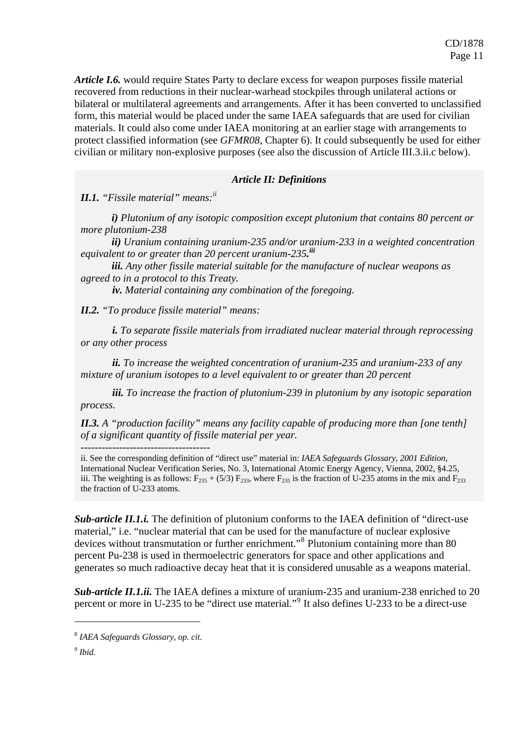*Article I.6.* would require States Party to declare excess for weapon purposes fissile material recovered from reductions in their nuclear-warhead stockpiles through unilateral actions or bilateral or multilateral agreements and arrangements. After it has been converted to unclassified form, this material would be placed under the same IAEA safeguards that are used for civilian materials. It could also come under IAEA monitoring at an earlier stage with arrangements to protect classified information (see *GFMR08,* Chapter 6). It could subsequently be used for either civilian or military non-explosive purposes (see also the discussion of Article III.3.ii.c below).

#### *Article II: Definitions*

*II.1. "Fissile material" means:ii*

*i) Plutonium of any isotopic composition except plutonium that contains 80 percent or more plutonium-238* 

*ii) Uranium containing uranium-235 and/or uranium-233 in a weighted concentration equivalent to or greater than 20 percent uranium-235. iii*

*iii. Any other fissile material suitable for the manufacture of nuclear weapons as agreed to in a protocol to this Treaty.* 

*iv. Material containing any combination of the foregoing.* 

*II.2. "To produce fissile material" means:* 

*i. To separate fissile materials from irradiated nuclear material through reprocessing or any other process* 

*ii. To increase the weighted concentration of uranium-235 and uranium-233 of any mixture of uranium isotopes to a level equivalent to or greater than 20 percent* 

*iii. To increase the fraction of plutonium-239 in plutonium by any isotopic separation process.* 

*II.3. A "production facility" means any facility capable of producing more than [one tenth] of a significant quantity of fissile material per year.* 

*-------------------------------------* 

ii. See the corresponding definition of "direct use" material in: *IAEA Safeguards Glossary, 2001 Edition,* International Nuclear Verification Series, No. 3, International Atomic Energy Agency, Vienna, 2002, §4.25, iii. The weighting is as follows:  $F_{235} + (5/3) F_{233}$ , where  $F_{235}$  is the fraction of U-235 atoms in the mix and  $F_{233}$ the fraction of U-233 atoms.

*Sub-article II.1.i.* The definition of plutonium conforms to the IAEA definition of "direct-use material," i.e. "nuclear material that can be used for the manufacture of nuclear explosive devices without transmutation or further enrichment."<sup>[8](#page-10-0)</sup> Plutonium containing more than 80 percent Pu-238 is used in thermoelectric generators for space and other applications and generates so much radioactive decay heat that it is considered unusable as a weapons material.

*Sub-article II.1.ii.* The IAEA defines a mixture of uranium-235 and uranium-238 enriched to 20 percent or more in U-235 to be "direct use material."<sup>[9](#page-10-1)</sup> It also defines U-233 to be a direct-use

1

<span id="page-10-0"></span><sup>8</sup> *IAEA Safeguards Glossary, op. cit.*

<span id="page-10-1"></span><sup>9</sup> *Ibid.*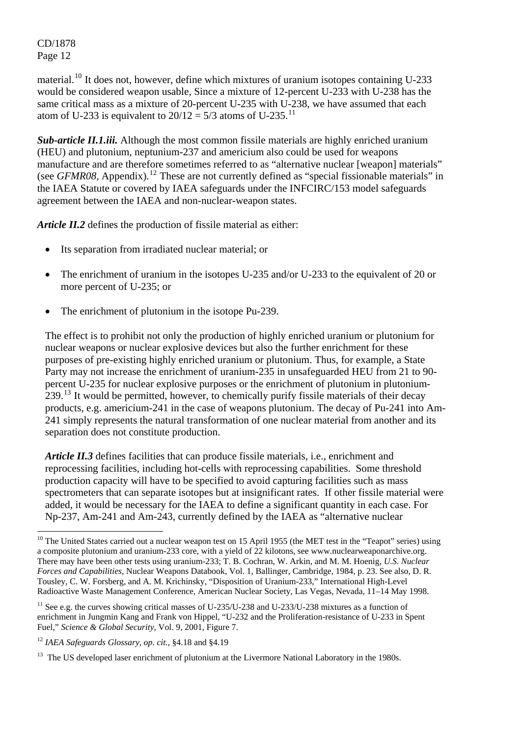$\overline{a}$ 

material.<sup>[10](#page-11-0)</sup> It does not, however, define which mixtures of uranium isotopes containing U-233 would be considered weapon usable, Since a mixture of 12-percent U-233 with U-238 has the same critical mass as a mixture of 20-percent U-235 with U-238, we have assumed that each atom of U-233 is equivalent to  $20/12 = 5/3$  atoms of U-235.<sup>[11](#page-11-1)</sup>

*Sub-article II.1.iii.* Although the most common fissile materials are highly enriched uranium (HEU) and plutonium, neptunium-237 and americium also could be used for weapons manufacture and are therefore sometimes referred to as "alternative nuclear [weapon] materials" (see *GFMR08*, Appendix).<sup>[12](#page-11-2)</sup> These are not currently defined as "special fissionable materials" in the IAEA Statute or covered by IAEA safeguards under the INFCIRC/153 model safeguards agreement between the IAEA and non-nuclear-weapon states.

*Article II.2* defines the production of fissile material as either:

- Its separation from irradiated nuclear material; or
- The enrichment of uranium in the isotopes U-235 and/or U-233 to the equivalent of 20 or more percent of U-235; or
- The enrichment of plutonium in the isotope Pu-239.

The effect is to prohibit not only the production of highly enriched uranium or plutonium for nuclear weapons or nuclear explosive devices but also the further enrichment for these purposes of pre-existing highly enriched uranium or plutonium. Thus, for example, a State Party may not increase the enrichment of uranium-235 in unsafeguarded HEU from 21 to 90 percent U-235 for nuclear explosive purposes or the enrichment of plutonium in plutonium- $239<sup>13</sup>$  $239<sup>13</sup>$  $239<sup>13</sup>$  It would be permitted, however, to chemically purify fissile materials of their decay products, e.g. americium-241 in the case of weapons plutonium. The decay of Pu-241 into Am-241 simply represents the natural transformation of one nuclear material from another and its separation does not constitute production.

*Article II.3* defines facilities that can produce fissile materials, i.e., enrichment and reprocessing facilities, including hot-cells with reprocessing capabilities. Some threshold production capacity will have to be specified to avoid capturing facilities such as mass spectrometers that can separate isotopes but at insignificant rates. If other fissile material were added, it would be necessary for the IAEA to define a significant quantity in each case. For Np-237, Am-241 and Am-243, currently defined by the IAEA as "alternative nuclear

<span id="page-11-2"></span><sup>12</sup> *IAEA Safeguards Glossary, op. cit.*, §4.18 and §4.19

<span id="page-11-0"></span> $10$  The United States carried out a nuclear weapon test on 15 April 1955 (the MET test in the "Teapot" series) using a composite plutonium and uranium-233 core, with a yield of 22 kilotons, see www.nuclearweaponarchive.org. There may have been other tests using uranium-233; T. B. Cochran, W. Arkin, and M. M. Hoenig*, U.S. Nuclear Forces and Capabilities,* Nuclear Weapons Databook, Vol. 1, Ballinger, Cambridge, 1984, p. 23. See also, D. R. Tousley, C. W. Forsberg, and A. M. Krichinsky, "Disposition of Uranium-233," International High-Level Radioactive Waste Management Conference, American Nuclear Society, Las Vegas, Nevada, 11–14 May 1998.

<span id="page-11-1"></span> $11$  See e.g. the curves showing critical masses of U-235/U-238 and U-233/U-238 mixtures as a function of enrichment in Jungmin Kang and Frank von Hippel, "U-232 and the Proliferation-resistance of U-233 in Spent Fuel," *Science & Global Security,* Vol. 9, 2001, Figure 7.

<span id="page-11-3"></span><sup>&</sup>lt;sup>13</sup> The US developed laser enrichment of plutonium at the Livermore National Laboratory in the 1980s.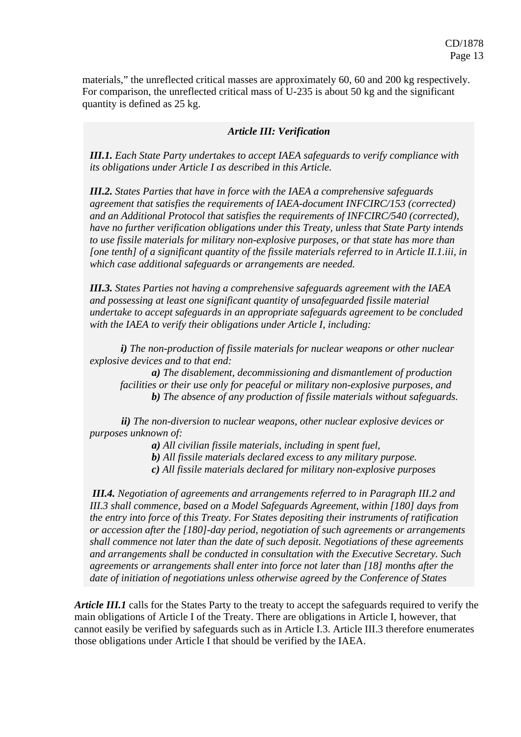materials," the unreflected critical masses are approximately 60, 60 and 200 kg respectively. For comparison, the unreflected critical mass of U-235 is about 50 kg and the significant quantity is defined as 25 kg.

#### *Article III: Verification*

*III.1. Each State Party undertakes to accept IAEA safeguards to verify compliance with its obligations under Article I as described in this Article.* 

*III.2. States Parties that have in force with the IAEA a comprehensive safeguards agreement that satisfies the requirements of IAEA-document INFCIRC/153 (corrected) and an Additional Protocol that satisfies the requirements of INFCIRC/540 (corrected), have no further verification obligations under this Treaty, unless that State Party intends to use fissile materials for military non-explosive purposes, or that state has more than [one tenth] of a significant quantity of the fissile materials referred to in Article II.1.iii, in which case additional safeguards or arrangements are needed.* 

*III.3. States Parties not having a comprehensive safeguards agreement with the IAEA and possessing at least one significant quantity of unsafeguarded fissile material undertake to accept safeguards in an appropriate safeguards agreement to be concluded with the IAEA to verify their obligations under Article I, including:* 

*i) The non-production of fissile materials for nuclear weapons or other nuclear explosive devices and to that end:* 

*a) The disablement, decommissioning and dismantlement of production facilities or their use only for peaceful or military non-explosive purposes, and b) The absence of any production of fissile materials without safeguards.* 

*ii) The non-diversion to nuclear weapons, other nuclear explosive devices or purposes unknown of:* 

*a) All civilian fissile materials, including in spent fuel,* 

*b) All fissile materials declared excess to any military purpose.* 

*c) All fissile materials declared for military non-explosive purposes* 

*III.4. Negotiation of agreements and arrangements referred to in Paragraph III.2 and III.3 shall commence, based on a Model Safeguards Agreement, within [180] days from the entry into force of this Treaty. For States depositing their instruments of ratification or accession after the [180]-day period, negotiation of such agreements or arrangements shall commence not later than the date of such deposit. Negotiations of these agreements and arrangements shall be conducted in consultation with the Executive Secretary. Such agreements or arrangements shall enter into force not later than [18] months after the date of initiation of negotiations unless otherwise agreed by the Conference of States* 

*Article III.1* calls for the States Party to the treaty to accept the safeguards required to verify the main obligations of Article I of the Treaty. There are obligations in Article I, however, that cannot easily be verified by safeguards such as in Article I.3. Article III.3 therefore enumerates those obligations under Article I that should be verified by the IAEA.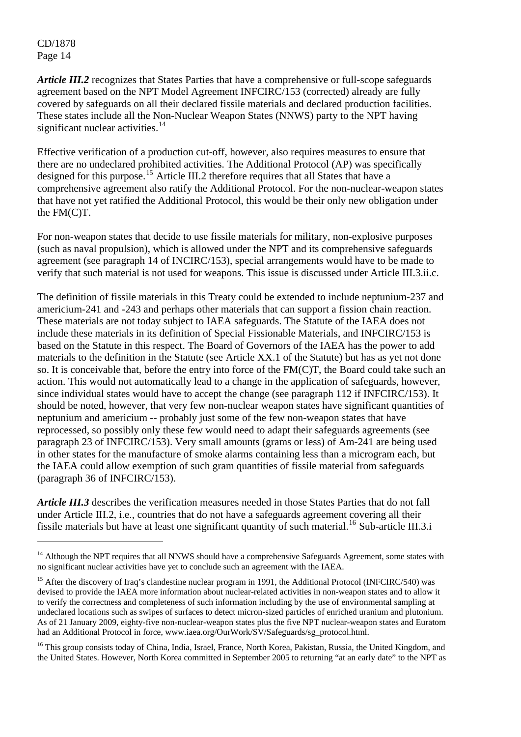$\overline{a}$ 

*Article III.2* recognizes that States Parties that have a comprehensive or full-scope safeguards agreement based on the NPT Model Agreement INFCIRC/153 (corrected) already are fully covered by safeguards on all their declared fissile materials and declared production facilities. These states include all the Non-Nuclear Weapon States (NNWS) party to the NPT having significant nuclear activities.<sup>[14](#page-13-0)</sup>

Effective verification of a production cut-off, however, also requires measures to ensure that there are no undeclared prohibited activities. The Additional Protocol (AP) was specifically designed for this purpose.<sup>[15](#page-13-1)</sup> Article III.2 therefore requires that all States that have a comprehensive agreement also ratify the Additional Protocol. For the non-nuclear-weapon states that have not yet ratified the Additional Protocol, this would be their only new obligation under the FM(C)T.

For non-weapon states that decide to use fissile materials for military, non-explosive purposes (such as naval propulsion), which is allowed under the NPT and its comprehensive safeguards agreement (see paragraph 14 of INCIRC/153), special arrangements would have to be made to verify that such material is not used for weapons. This issue is discussed under Article III.3.ii.c.

The definition of fissile materials in this Treaty could be extended to include neptunium-237 and americium-241 and -243 and perhaps other materials that can support a fission chain reaction. These materials are not today subject to IAEA safeguards. The Statute of the IAEA does not include these materials in its definition of Special Fissionable Materials, and INFCIRC/153 is based on the Statute in this respect. The Board of Governors of the IAEA has the power to add materials to the definition in the Statute (see Article XX.1 of the Statute) but has as yet not done so. It is conceivable that, before the entry into force of the FM(C)T, the Board could take such an action. This would not automatically lead to a change in the application of safeguards, however, since individual states would have to accept the change (see paragraph 112 if INFCIRC/153). It should be noted, however, that very few non-nuclear weapon states have significant quantities of neptunium and americium -- probably just some of the few non-weapon states that have reprocessed, so possibly only these few would need to adapt their safeguards agreements (see paragraph 23 of INFCIRC/153). Very small amounts (grams or less) of Am-241 are being used in other states for the manufacture of smoke alarms containing less than a microgram each, but the IAEA could allow exemption of such gram quantities of fissile material from safeguards (paragraph 36 of INFCIRC/153).

*Article III.3* describes the verification measures needed in those States Parties that do not fall under Article III.2, i.e., countries that do not have a safeguards agreement covering all their fissile materials but have at least one significant quantity of such material.<sup>[16](#page-13-2)</sup> Sub-article III.3.i

<span id="page-13-0"></span><sup>&</sup>lt;sup>14</sup> Although the NPT requires that all NNWS should have a comprehensive Safeguards Agreement, some states with no significant nuclear activities have yet to conclude such an agreement with the IAEA.

<span id="page-13-1"></span><sup>&</sup>lt;sup>15</sup> After the discovery of Iraq's clandestine nuclear program in 1991, the Additional Protocol (INFCIRC/540) was devised to provide the IAEA more information about nuclear-related activities in non-weapon states and to allow it to verify the correctness and completeness of such information including by the use of environmental sampling at undeclared locations such as swipes of surfaces to detect micron-sized particles of enriched uranium and plutonium. As of 21 January 2009, eighty-five non-nuclear-weapon states plus the five NPT nuclear-weapon states and Euratom had an Additional Protocol in force, www.iaea.org/OurWork/SV/Safeguards/sg\_protocol.html.

<span id="page-13-2"></span><sup>&</sup>lt;sup>16</sup> This group consists today of China, India, Israel, France, North Korea, Pakistan, Russia, the United Kingdom, and the United States. However, North Korea committed in September 2005 to returning "at an early date" to the NPT as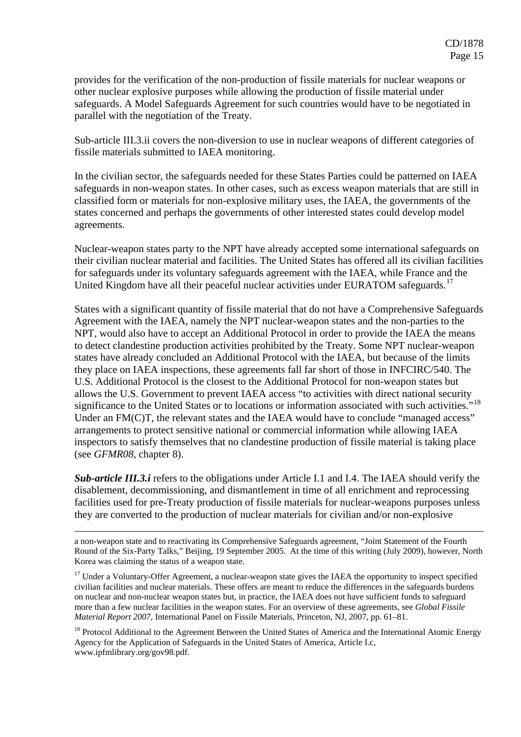provides for the verification of the non-production of fissile materials for nuclear weapons or other nuclear explosive purposes while allowing the production of fissile material under safeguards. A Model Safeguards Agreement for such countries would have to be negotiated in parallel with the negotiation of the Treaty.

Sub-article III.3.ii covers the non-diversion to use in nuclear weapons of different categories of fissile materials submitted to IAEA monitoring.

In the civilian sector, the safeguards needed for these States Parties could be patterned on IAEA safeguards in non-weapon states. In other cases, such as excess weapon materials that are still in classified form or materials for non-explosive military uses, the IAEA, the governments of the states concerned and perhaps the governments of other interested states could develop model agreements.

Nuclear-weapon states party to the NPT have already accepted some international safeguards on their civilian nuclear material and facilities. The United States has offered all its civilian facilities for safeguards under its voluntary safeguards agreement with the IAEA, while France and the United Kingdom have all their peaceful nuclear activities under EURATOM safeguards.<sup>[17](#page-14-0)</sup>

States with a significant quantity of fissile material that do not have a Comprehensive Safeguards Agreement with the IAEA, namely the NPT nuclear-weapon states and the non-parties to the NPT, would also have to accept an Additional Protocol in order to provide the IAEA the means to detect clandestine production activities prohibited by the Treaty. Some NPT nuclear-weapon states have already concluded an Additional Protocol with the IAEA, but because of the limits they place on IAEA inspections, these agreements fall far short of those in INFCIRC/540. The U.S. Additional Protocol is the closest to the Additional Protocol for non-weapon states but allows the U.S. Government to prevent IAEA access "to activities with direct national security significance to the United States or to locations or information associated with such activities."<sup>[18](#page-14-1)</sup> Under an FM(C)T, the relevant states and the IAEA would have to conclude "managed access" arrangements to protect sensitive national or commercial information while allowing IAEA inspectors to satisfy themselves that no clandestine production of fissile material is taking place (see *GFMR08,* chapter 8).

**Sub-article III.3.i** refers to the obligations under Article I.1 and I.4. The IAEA should verify the disablement, decommissioning, and dismantlement in time of all enrichment and reprocessing facilities used for pre-Treaty production of fissile materials for nuclear-weapons purposes unless they are converted to the production of nuclear materials for civilian and/or non-explosive

a non-weapon state and to reactivating its Comprehensive Safeguards agreement, "Joint Statement of the Fourth Round of the Six-Party Talks," Beijing, 19 September 2005. At the time of this writing (July 2009), however, North Korea was claiming the status of a weapon state.

1

<span id="page-14-0"></span><sup>17</sup> Under a Voluntary-Offer Agreement, a nuclear-weapon state gives the IAEA the opportunity to inspect specified civilian facilities and nuclear materials. These offers are meant to reduce the differences in the safeguards burdens on nuclear and non-nuclear weapon states but, in practice, the IAEA does not have sufficient funds to safeguard more than a few nuclear facilities in the weapon states. For an overview of these agreements, see *Global Fissile Material Report 2007,* International Panel on Fissile Materials, Princeton, NJ, 2007, pp. 61–81.

<span id="page-14-1"></span><sup>18</sup> Protocol Additional to the Agreement Between the United States of America and the International Atomic Energy Agency for the Application of Safeguards in the United States of America, Article I.c, www.ipfmlibrary.org/gov98.pdf.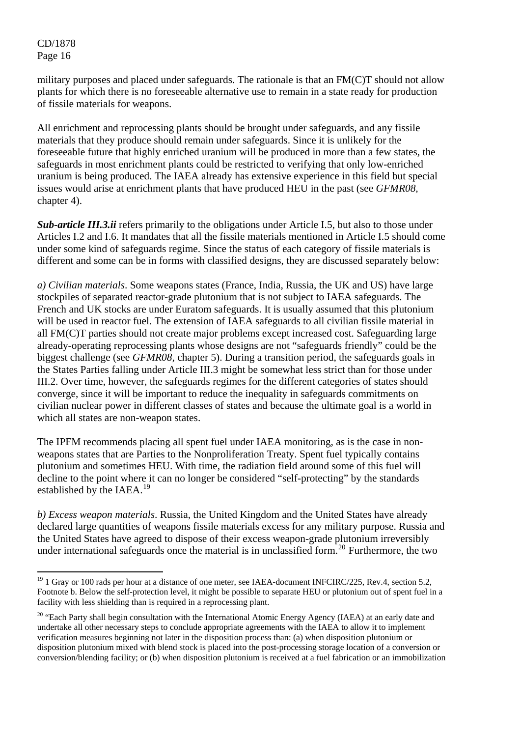$\overline{a}$ 

military purposes and placed under safeguards. The rationale is that an FM(C)T should not allow plants for which there is no foreseeable alternative use to remain in a state ready for production of fissile materials for weapons.

All enrichment and reprocessing plants should be brought under safeguards, and any fissile materials that they produce should remain under safeguards. Since it is unlikely for the foreseeable future that highly enriched uranium will be produced in more than a few states, the safeguards in most enrichment plants could be restricted to verifying that only low-enriched uranium is being produced. The IAEA already has extensive experience in this field but special issues would arise at enrichment plants that have produced HEU in the past (see *GFMR08,*  chapter 4).

*Sub-article III.3.ii* refers primarily to the obligations under Article I.5, but also to those under Articles I.2 and I.6. It mandates that all the fissile materials mentioned in Article I.5 should come under some kind of safeguards regime. Since the status of each category of fissile materials is different and some can be in forms with classified designs, they are discussed separately below:

*a) Civilian materials*. Some weapons states (France, India, Russia, the UK and US) have large stockpiles of separated reactor-grade plutonium that is not subject to IAEA safeguards. The French and UK stocks are under Euratom safeguards. It is usually assumed that this plutonium will be used in reactor fuel. The extension of IAEA safeguards to all civilian fissile material in all FM(C)T parties should not create major problems except increased cost. Safeguarding large already-operating reprocessing plants whose designs are not "safeguards friendly" could be the biggest challenge (see *GFMR08,* chapter 5). During a transition period, the safeguards goals in the States Parties falling under Article III.3 might be somewhat less strict than for those under III.2. Over time, however, the safeguards regimes for the different categories of states should converge, since it will be important to reduce the inequality in safeguards commitments on civilian nuclear power in different classes of states and because the ultimate goal is a world in which all states are non-weapon states.

The IPFM recommends placing all spent fuel under IAEA monitoring, as is the case in nonweapons states that are Parties to the Nonproliferation Treaty. Spent fuel typically contains plutonium and sometimes HEU. With time, the radiation field around some of this fuel will decline to the point where it can no longer be considered "self-protecting" by the standards established by the IAEA.<sup>[19](#page-15-0)</sup>

*b) Excess weapon materials*. Russia, the United Kingdom and the United States have already declared large quantities of weapons fissile materials excess for any military purpose. Russia and the United States have agreed to dispose of their excess weapon-grade plutonium irreversibly under international safeguards once the material is in unclassified form.<sup>[20](#page-15-1)</sup> Furthermore, the two

<span id="page-15-0"></span><sup>&</sup>lt;sup>19</sup> 1 Gray or 100 rads per hour at a distance of one meter, see IAEA-document INFCIRC/225, Rev.4, section 5.2, Footnote b. Below the self-protection level, it might be possible to separate HEU or plutonium out of spent fuel in a facility with less shielding than is required in a reprocessing plant.

<span id="page-15-1"></span><sup>&</sup>lt;sup>20</sup> "Each Party shall begin consultation with the International Atomic Energy Agency (IAEA) at an early date and undertake all other necessary steps to conclude appropriate agreements with the IAEA to allow it to implement verification measures beginning not later in the disposition process than: (a) when disposition plutonium or disposition plutonium mixed with blend stock is placed into the post-processing storage location of a conversion or conversion/blending facility; or (b) when disposition plutonium is received at a fuel fabrication or an immobilization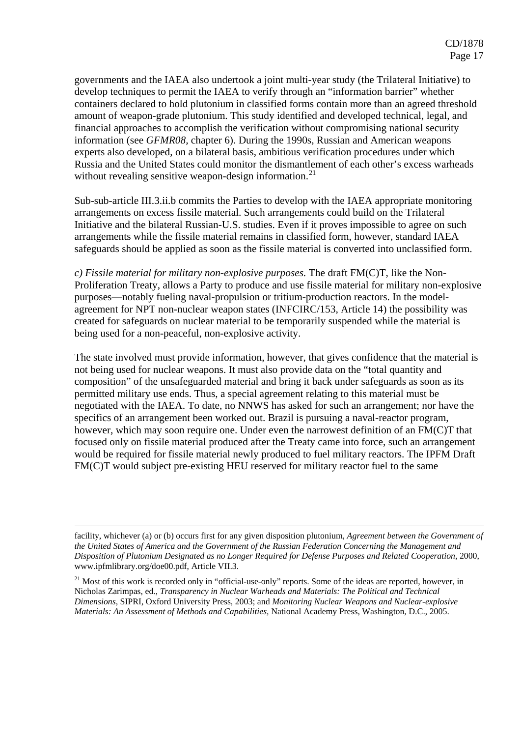governments and the IAEA also undertook a joint multi-year study (the Trilateral Initiative) to develop techniques to permit the IAEA to verify through an "information barrier" whether containers declared to hold plutonium in classified forms contain more than an agreed threshold amount of weapon-grade plutonium. This study identified and developed technical, legal, and financial approaches to accomplish the verification without compromising national security information (see *GFMR08,* chapter 6). During the 1990s, Russian and American weapons experts also developed, on a bilateral basis, ambitious verification procedures under which Russia and the United States could monitor the dismantlement of each other's excess warheads without revealing sensitive weapon-design information.<sup>[21](#page-16-0)</sup>

Sub-sub-article III.3.ii.b commits the Parties to develop with the IAEA appropriate monitoring arrangements on excess fissile material. Such arrangements could build on the Trilateral Initiative and the bilateral Russian-U.S. studies. Even if it proves impossible to agree on such arrangements while the fissile material remains in classified form, however, standard IAEA safeguards should be applied as soon as the fissile material is converted into unclassified form.

*c) Fissile material for military non-explosive purposes.* The draft FM(C)T, like the Non-Proliferation Treaty, allows a Party to produce and use fissile material for military non-explosive purposes—notably fueling naval-propulsion or tritium-production reactors. In the modelagreement for NPT non-nuclear weapon states (INFCIRC/153, Article 14) the possibility was created for safeguards on nuclear material to be temporarily suspended while the material is being used for a non-peaceful, non-explosive activity.

The state involved must provide information, however, that gives confidence that the material is not being used for nuclear weapons. It must also provide data on the "total quantity and composition" of the unsafeguarded material and bring it back under safeguards as soon as its permitted military use ends. Thus, a special agreement relating to this material must be negotiated with the IAEA. To date, no NNWS has asked for such an arrangement; nor have the specifics of an arrangement been worked out. Brazil is pursuing a naval-reactor program, however, which may soon require one. Under even the narrowest definition of an FM(C)T that focused only on fissile material produced after the Treaty came into force, such an arrangement would be required for fissile material newly produced to fuel military reactors. The IPFM Draft FM(C)T would subject pre-existing HEU reserved for military reactor fuel to the same

1

facility, whichever (a) or (b) occurs first for any given disposition plutonium, *Agreement between the Government of the United States of America and the Government of the Russian Federation Concerning the Management and Disposition of Plutonium Designated as no Longer Required for Defense Purposes and Related Cooperation,* 2000, www.ipfmlibrary.org/doe00.pdf, Article VII.3.

<span id="page-16-0"></span><sup>&</sup>lt;sup>21</sup> Most of this work is recorded only in "official-use-only" reports. Some of the ideas are reported, however, in Nicholas Zarimpas, ed., *Transparency in Nuclear Warheads and Materials: The Political and Technical Dimensions*, SIPRI, Oxford University Press, 2003; and *Monitoring Nuclear Weapons and Nuclear-explosive Materials: An Assessment of Methods and Capabilities,* National Academy Press, Washington, D.C., 2005.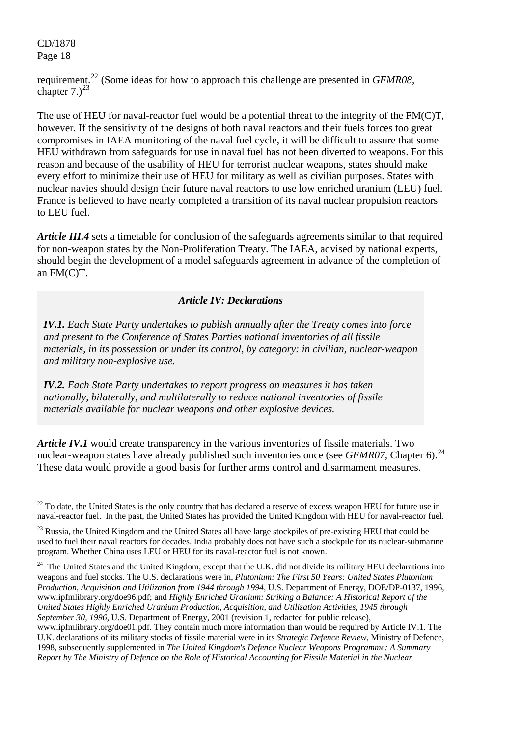$\overline{a}$ 

requirement.[22](#page-17-0) (Some ideas for how to approach this challenge are presented in *GFMR08,*  chapter  $7.2^{23}$  $7.2^{23}$  $7.2^{23}$ 

The use of HEU for naval-reactor fuel would be a potential threat to the integrity of the FM(C)T, however. If the sensitivity of the designs of both naval reactors and their fuels forces too great compromises in IAEA monitoring of the naval fuel cycle, it will be difficult to assure that some HEU withdrawn from safeguards for use in naval fuel has not been diverted to weapons. For this reason and because of the usability of HEU for terrorist nuclear weapons, states should make every effort to minimize their use of HEU for military as well as civilian purposes. States with nuclear navies should design their future naval reactors to use low enriched uranium (LEU) fuel. France is believed to have nearly completed a transition of its naval nuclear propulsion reactors to LEU fuel.

*Article III.4* sets a timetable for conclusion of the safeguards agreements similar to that required for non-weapon states by the Non-Proliferation Treaty. The IAEA, advised by national experts, should begin the development of a model safeguards agreement in advance of the completion of an FM(C)T.

## *Article IV: Declarations*

*IV.1. Each State Party undertakes to publish annually after the Treaty comes into force and present to the Conference of States Parties national inventories of all fissile materials, in its possession or under its control, by category: in civilian, nuclear-weapon and military non-explosive use.* 

*IV.2. Each State Party undertakes to report progress on measures it has taken nationally, bilaterally, and multilaterally to reduce national inventories of fissile materials available for nuclear weapons and other explosive devices.* 

*Article IV.1* would create transparency in the various inventories of fissile materials. Two nuclear-weapon states have already published such inventories once (see *GFMR07*, Chapter 6).<sup>[24](#page-17-2)</sup> These data would provide a good basis for further arms control and disarmament measures.

<span id="page-17-2"></span><sup>24</sup> The United States and the United Kingdom, except that the U.K. did not divide its military HEU declarations into weapons and fuel stocks. The U.S. declarations were in, *Plutonium: The First 50 Years: United States Plutonium Production, Acquisition and Utilization from 1944 through 1994,* U.S. Department of Energy, DOE/DP-0137, 1996, www.ipfmlibrary.org/doe96.pdf; and *Highly Enriched Uranium: Striking a Balance: A Historical Report of the United States Highly Enriched Uranium Production, Acquisition, and Utilization Activities, 1945 through September 30, 1996,* U.S. Department of Energy, 2001 (revision 1, redacted for public release),

<span id="page-17-0"></span> $22$  To date, the United States is the only country that has declared a reserve of excess weapon HEU for future use in naval-reactor fuel. In the past, the United States has provided the United Kingdom with HEU for naval-reactor fuel.

<span id="page-17-1"></span><sup>&</sup>lt;sup>23</sup> Russia, the United Kingdom and the United States all have large stockpiles of pre-existing HEU that could be used to fuel their naval reactors for decades. India probably does not have such a stockpile for its nuclear-submarine program. Whether China uses LEU or HEU for its naval-reactor fuel is not known.

www.ipfmlibrary.org/doe01.pdf. They contain much more information than would be required by Article IV.1. The U.K. declarations of its military stocks of fissile material were in its *Strategic Defence Review,* Ministry of Defence, 1998, subsequently supplemented in *The United Kingdom's Defence Nuclear Weapons Programme: A Summary Report by The Ministry of Defence on the Role of Historical Accounting for Fissile Material in the Nuclear*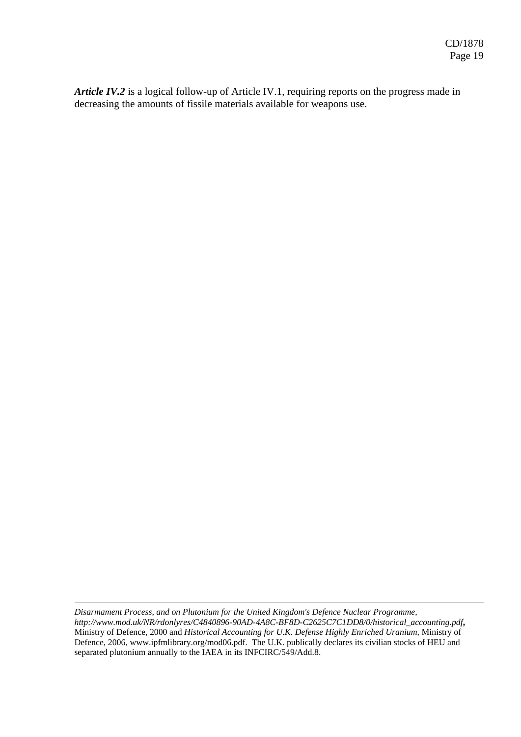*Article IV.2* is a logical follow-up of Article IV.1, requiring reports on the progress made in decreasing the amounts of fissile materials available for weapons use.

1

*Disarmament Process, and on Plutonium for the United Kingdom's Defence Nuclear Programme, http://www.mod.uk/NR/rdonlyres/C4840896-90AD-4A8C-BF8D-C2625C7C1DD8/0/historical\_accounting.pdf***,**  Ministry of Defence, 2000 and *Historical Accounting for U.K. Defense Highly Enriched Uranium,* Ministry of Defence, 2006, www.ipfmlibrary.org/mod06.pdf. The U.K. publically declares its civilian stocks of HEU and separated plutonium annually to the IAEA in its INFCIRC/549/Add.8.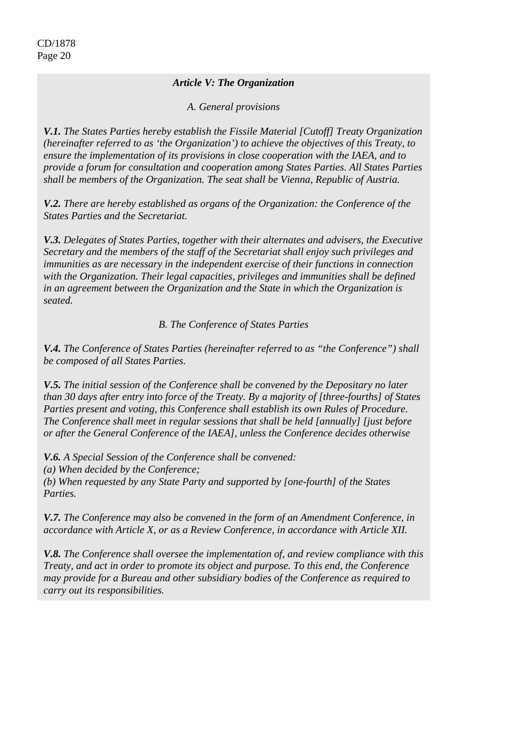## *Article V: The Organization*

*A. General provisions* 

*V.1. The States Parties hereby establish the Fissile Material [Cutoff] Treaty Organization (hereinafter referred to as 'the Organization') to achieve the objectives of this Treaty, to ensure the implementation of its provisions in close cooperation with the IAEA, and to provide a forum for consultation and cooperation among States Parties. All States Parties shall be members of the Organization. The seat shall be Vienna, Republic of Austria.* 

*V.2. There are hereby established as organs of the Organization: the Conference of the States Parties and the Secretariat.* 

*V.3. Delegates of States Parties, together with their alternates and advisers, the Executive Secretary and the members of the staff of the Secretariat shall enjoy such privileges and immunities as are necessary in the independent exercise of their functions in connection with the Organization. Their legal capacities, privileges and immunities shall be defined in an agreement between the Organization and the State in which the Organization is seated.* 

## *B. The Conference of States Parties*

*V.4. The Conference of States Parties (hereinafter referred to as "the Conference") shall be composed of all States Parties.* 

*V.5. The initial session of the Conference shall be convened by the Depositary no later than 30 days after entry into force of the Treaty. By a majority of [three-fourths] of States Parties present and voting, this Conference shall establish its own Rules of Procedure. The Conference shall meet in regular sessions that shall be held [annually] [just before or after the General Conference of the IAEA], unless the Conference decides otherwise* 

*V.6. A Special Session of the Conference shall be convened: (a) When decided by the Conference; (b) When requested by any State Party and supported by [one-fourth] of the States Parties.* 

*V.7. The Conference may also be convened in the form of an Amendment Conference, in accordance with Article X, or as a Review Conference, in accordance with Article XII.* 

*V.8. The Conference shall oversee the implementation of, and review compliance with this Treaty, and act in order to promote its object and purpose. To this end, the Conference may provide for a Bureau and other subsidiary bodies of the Conference as required to carry out its responsibilities.*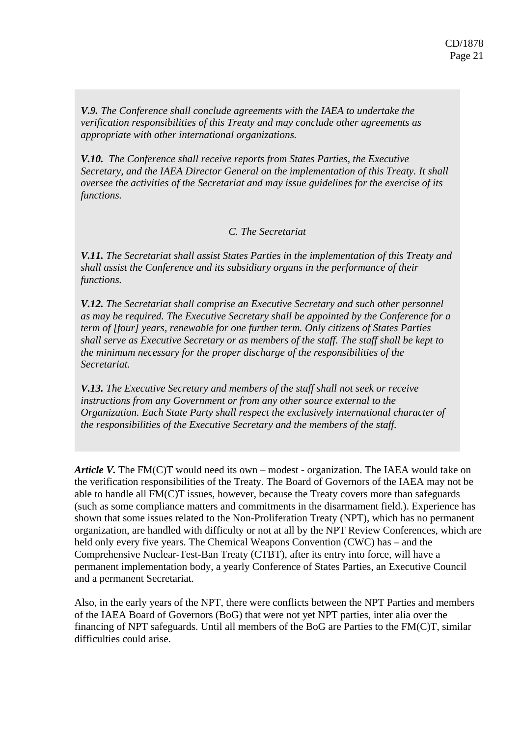*V.9. The Conference shall conclude agreements with the IAEA to undertake the verification responsibilities of this Treaty and may conclude other agreements as appropriate with other international organizations.* 

*V.10. The Conference shall receive reports from States Parties, the Executive Secretary, and the IAEA Director General on the implementation of this Treaty. It shall oversee the activities of the Secretariat and may issue guidelines for the exercise of its functions.* 

## *C. The Secretariat*

*V.11. The Secretariat shall assist States Parties in the implementation of this Treaty and shall assist the Conference and its subsidiary organs in the performance of their functions.* 

*V.12. The Secretariat shall comprise an Executive Secretary and such other personnel as may be required. The Executive Secretary shall be appointed by the Conference for a term of [four] years, renewable for one further term. Only citizens of States Parties shall serve as Executive Secretary or as members of the staff. The staff shall be kept to the minimum necessary for the proper discharge of the responsibilities of the Secretariat.* 

*V.13. The Executive Secretary and members of the staff shall not seek or receive instructions from any Government or from any other source external to the Organization. Each State Party shall respect the exclusively international character of the responsibilities of the Executive Secretary and the members of the staff.* 

*Article V*. The FM(C)T would need its own – modest - organization. The IAEA would take on the verification responsibilities of the Treaty. The Board of Governors of the IAEA may not be able to handle all FM(C)T issues, however, because the Treaty covers more than safeguards (such as some compliance matters and commitments in the disarmament field.). Experience has shown that some issues related to the Non-Proliferation Treaty (NPT), which has no permanent organization, are handled with difficulty or not at all by the NPT Review Conferences, which are held only every five years. The Chemical Weapons Convention (CWC) has – and the Comprehensive Nuclear-Test-Ban Treaty (CTBT), after its entry into force, will have a permanent implementation body, a yearly Conference of States Parties, an Executive Council and a permanent Secretariat.

Also, in the early years of the NPT, there were conflicts between the NPT Parties and members of the IAEA Board of Governors (BoG) that were not yet NPT parties, inter alia over the financing of NPT safeguards. Until all members of the BoG are Parties to the FM(C)T, similar difficulties could arise.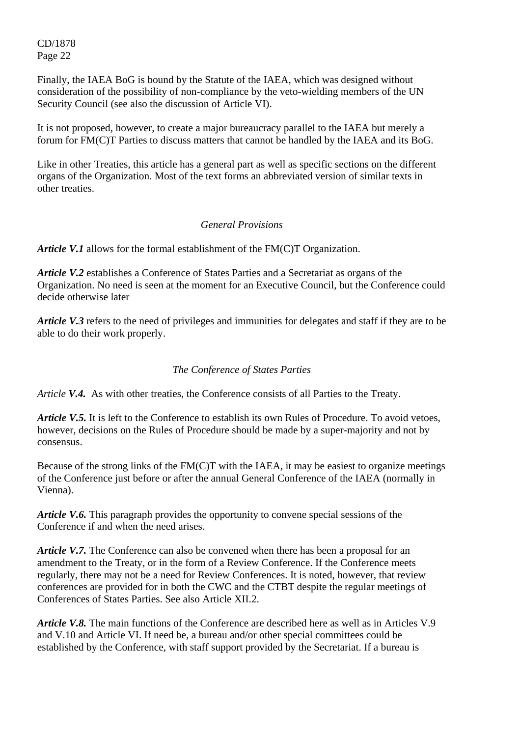Finally, the IAEA BoG is bound by the Statute of the IAEA, which was designed without consideration of the possibility of non-compliance by the veto-wielding members of the UN Security Council (see also the discussion of Article VI).

It is not proposed, however, to create a major bureaucracy parallel to the IAEA but merely a forum for FM(C)T Parties to discuss matters that cannot be handled by the IAEA and its BoG.

Like in other Treaties, this article has a general part as well as specific sections on the different organs of the Organization. Most of the text forms an abbreviated version of similar texts in other treaties.

## *General Provisions*

*Article V.1* allows for the formal establishment of the FM(C)T Organization.

*Article V.2* establishes a Conference of States Parties and a Secretariat as organs of the Organization. No need is seen at the moment for an Executive Council, but the Conference could decide otherwise later

*Article V.3* refers to the need of privileges and immunities for delegates and staff if they are to be able to do their work properly.

### *The Conference of States Parties*

*Article V.4.* As with other treaties, the Conference consists of all Parties to the Treaty.

*Article V.5.* It is left to the Conference to establish its own Rules of Procedure. To avoid vetoes, however, decisions on the Rules of Procedure should be made by a super-majority and not by consensus.

Because of the strong links of the FM(C)T with the IAEA, it may be easiest to organize meetings of the Conference just before or after the annual General Conference of the IAEA (normally in Vienna).

*Article V.6.* This paragraph provides the opportunity to convene special sessions of the Conference if and when the need arises.

*Article V.7.* The Conference can also be convened when there has been a proposal for an amendment to the Treaty, or in the form of a Review Conference. If the Conference meets regularly, there may not be a need for Review Conferences. It is noted, however, that review conferences are provided for in both the CWC and the CTBT despite the regular meetings of Conferences of States Parties. See also Article XII.2.

*Article V.8.* The main functions of the Conference are described here as well as in Articles V.9 and V.10 and Article VI. If need be, a bureau and/or other special committees could be established by the Conference, with staff support provided by the Secretariat. If a bureau is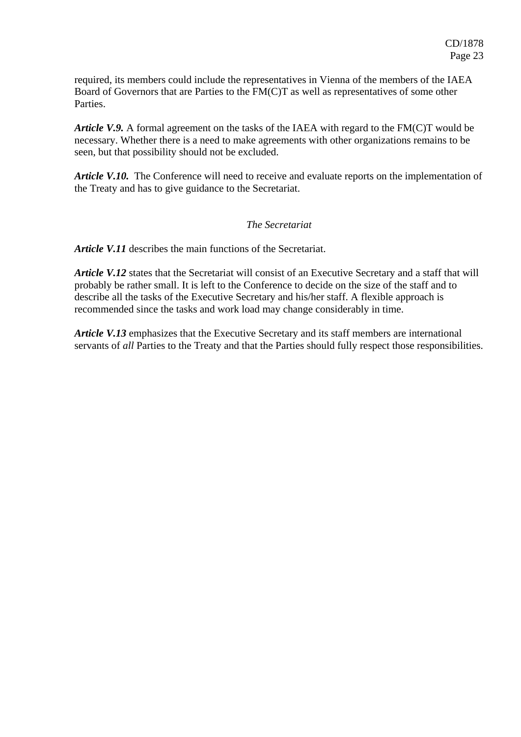required, its members could include the representatives in Vienna of the members of the IAEA Board of Governors that are Parties to the FM(C)T as well as representatives of some other **Parties** 

*Article V.9.* A formal agreement on the tasks of the IAEA with regard to the FM(C)T would be necessary. Whether there is a need to make agreements with other organizations remains to be seen, but that possibility should not be excluded.

*Article V.10.* The Conference will need to receive and evaluate reports on the implementation of the Treaty and has to give guidance to the Secretariat.

#### *The Secretariat*

*Article V.11* describes the main functions of the Secretariat.

*Article V.12* states that the Secretariat will consist of an Executive Secretary and a staff that will probably be rather small. It is left to the Conference to decide on the size of the staff and to describe all the tasks of the Executive Secretary and his/her staff. A flexible approach is recommended since the tasks and work load may change considerably in time.

*Article V.13* emphasizes that the Executive Secretary and its staff members are international servants of *all* Parties to the Treaty and that the Parties should fully respect those responsibilities.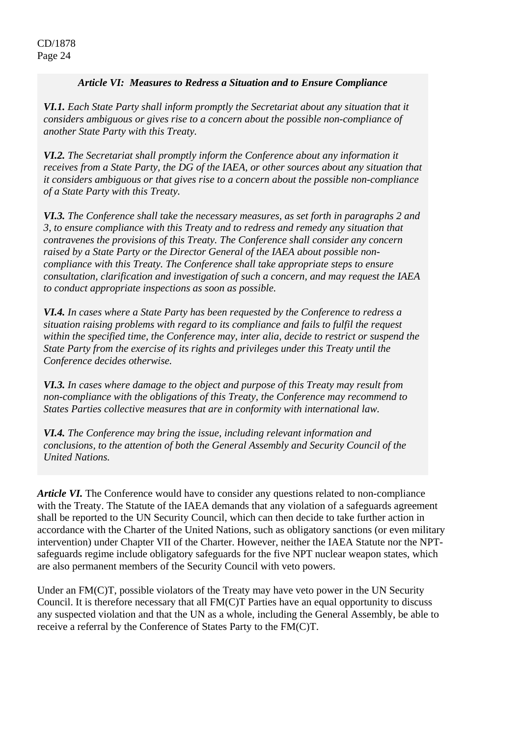#### *Article VI: Measures to Redress a Situation and to Ensure Compliance*

*VI.1. Each State Party shall inform promptly the Secretariat about any situation that it considers ambiguous or gives rise to a concern about the possible non-compliance of another State Party with this Treaty.*

*VI.2. The Secretariat shall promptly inform the Conference about any information it receives from a State Party, the DG of the IAEA, or other sources about any situation that it considers ambiguous or that gives rise to a concern about the possible non-compliance of a State Party with this Treaty.* 

*VI.3. The Conference shall take the necessary measures, as set forth in paragraphs 2 and 3, to ensure compliance with this Treaty and to redress and remedy any situation that contravenes the provisions of this Treaty. The Conference shall consider any concern raised by a State Party or the Director General of the IAEA about possible noncompliance with this Treaty. The Conference shall take appropriate steps to ensure consultation, clarification and investigation of such a concern, and may request the IAEA to conduct appropriate inspections as soon as possible.* 

*VI.4. In cases where a State Party has been requested by the Conference to redress a situation raising problems with regard to its compliance and fails to fulfil the request within the specified time, the Conference may, inter alia, decide to restrict or suspend the State Party from the exercise of its rights and privileges under this Treaty until the Conference decides otherwise.* 

*VI.3. In cases where damage to the object and purpose of this Treaty may result from non-compliance with the obligations of this Treaty, the Conference may recommend to States Parties collective measures that are in conformity with international law.* 

*VI.4. The Conference may bring the issue, including relevant information and conclusions, to the attention of both the General Assembly and Security Council of the United Nations.* 

*Article VI.* The Conference would have to consider any questions related to non-compliance with the Treaty. The Statute of the IAEA demands that any violation of a safeguards agreement shall be reported to the UN Security Council, which can then decide to take further action in accordance with the Charter of the United Nations, such as obligatory sanctions (or even military intervention) under Chapter VII of the Charter. However, neither the IAEA Statute nor the NPTsafeguards regime include obligatory safeguards for the five NPT nuclear weapon states, which are also permanent members of the Security Council with veto powers.

Under an FM(C)T, possible violators of the Treaty may have veto power in the UN Security Council. It is therefore necessary that all FM(C)T Parties have an equal opportunity to discuss any suspected violation and that the UN as a whole, including the General Assembly, be able to receive a referral by the Conference of States Party to the FM(C)T.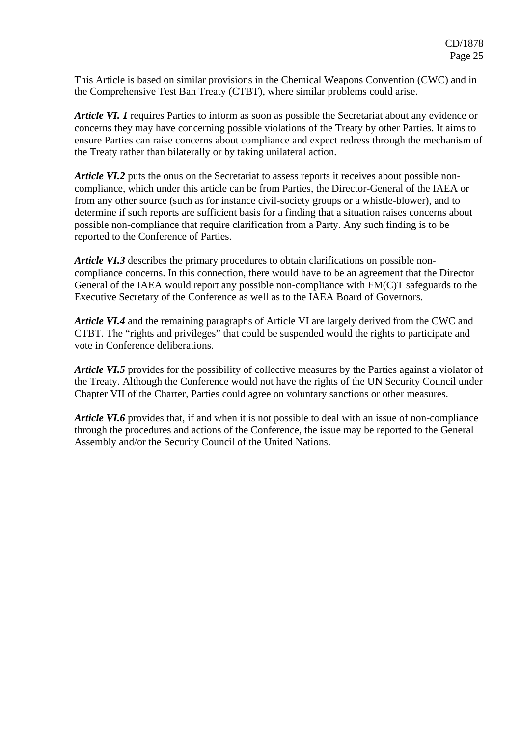This Article is based on similar provisions in the Chemical Weapons Convention (CWC) and in the Comprehensive Test Ban Treaty (CTBT), where similar problems could arise.

*Article VI. 1* requires Parties to inform as soon as possible the Secretariat about any evidence or concerns they may have concerning possible violations of the Treaty by other Parties. It aims to ensure Parties can raise concerns about compliance and expect redress through the mechanism of the Treaty rather than bilaterally or by taking unilateral action.

*Article VI.2* puts the onus on the Secretariat to assess reports it receives about possible noncompliance, which under this article can be from Parties, the Director-General of the IAEA or from any other source (such as for instance civil-society groups or a whistle-blower), and to determine if such reports are sufficient basis for a finding that a situation raises concerns about possible non-compliance that require clarification from a Party. Any such finding is to be reported to the Conference of Parties.

*Article VI.3* describes the primary procedures to obtain clarifications on possible noncompliance concerns. In this connection, there would have to be an agreement that the Director General of the IAEA would report any possible non-compliance with FM(C)T safeguards to the Executive Secretary of the Conference as well as to the IAEA Board of Governors.

*Article VI.4* and the remaining paragraphs of Article VI are largely derived from the CWC and CTBT. The "rights and privileges" that could be suspended would the rights to participate and vote in Conference deliberations.

*Article VI.5* provides for the possibility of collective measures by the Parties against a violator of the Treaty. Although the Conference would not have the rights of the UN Security Council under Chapter VII of the Charter, Parties could agree on voluntary sanctions or other measures.

*Article VI.6* provides that, if and when it is not possible to deal with an issue of non-compliance through the procedures and actions of the Conference, the issue may be reported to the General Assembly and/or the Security Council of the United Nations.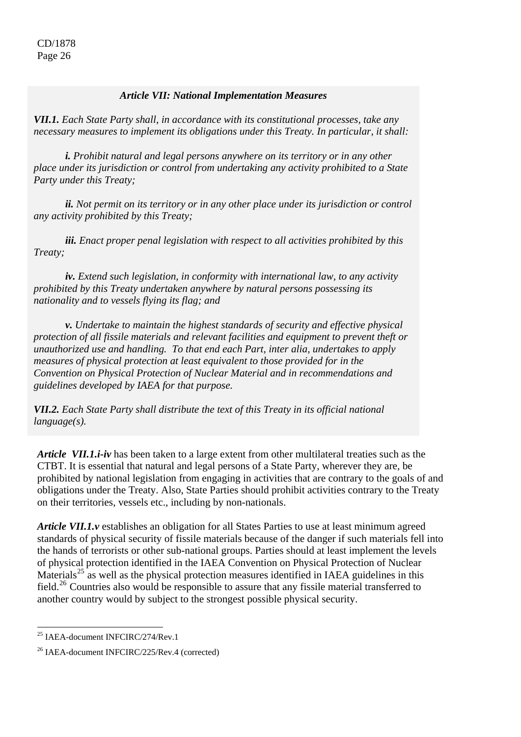#### *Article VII: National Implementation Measures*

*VII.1. Each State Party shall, in accordance with its constitutional processes, take any necessary measures to implement its obligations under this Treaty. In particular, it shall:* 

*i. Prohibit natural and legal persons anywhere on its territory or in any other place under its jurisdiction or control from undertaking any activity prohibited to a State Party under this Treaty;* 

*ii. Not permit on its territory or in any other place under its jurisdiction or control any activity prohibited by this Treaty;* 

*iii. Enact proper penal legislation with respect to all activities prohibited by this Treaty;* 

*iv. Extend such legislation, in conformity with international law, to any activity prohibited by this Treaty undertaken anywhere by natural persons possessing its nationality and to vessels flying its flag; and* 

*v. Undertake to maintain the highest standards of security and effective physical protection of all fissile materials and relevant facilities and equipment to prevent theft or unauthorized use and handling. To that end each Part, inter alia, undertakes to apply measures of physical protection at least equivalent to those provided for in the Convention on Physical Protection of Nuclear Material and in recommendations and guidelines developed by IAEA for that purpose.* 

*VII.2. Each State Party shall distribute the text of this Treaty in its official national language(s).*

*Article VII.1.i-iv* has been taken to a large extent from other multilateral treaties such as the CTBT. It is essential that natural and legal persons of a State Party, wherever they are, be prohibited by national legislation from engaging in activities that are contrary to the goals of and obligations under the Treaty. Also, State Parties should prohibit activities contrary to the Treaty on their territories, vessels etc., including by non-nationals.

*Article VII.1.v* establishes an obligation for all States Parties to use at least minimum agreed standards of physical security of fissile materials because of the danger if such materials fell into the hands of terrorists or other sub-national groups. Parties should at least implement the levels of physical protection identified in the IAEA Convention on Physical Protection of Nuclear Materials<sup>[25](#page-25-0)</sup> as well as the physical protection measures identified in IAEA guidelines in this field.[26](#page-25-1) Countries also would be responsible to assure that any fissile material transferred to another country would by subject to the strongest possible physical security.

 $\overline{a}$ 

<span id="page-25-0"></span><sup>&</sup>lt;sup>25</sup> IAEA-document INFCIRC/274/Rev.1

<span id="page-25-1"></span><sup>26</sup> IAEA-document INFCIRC/225/Rev.4 (corrected)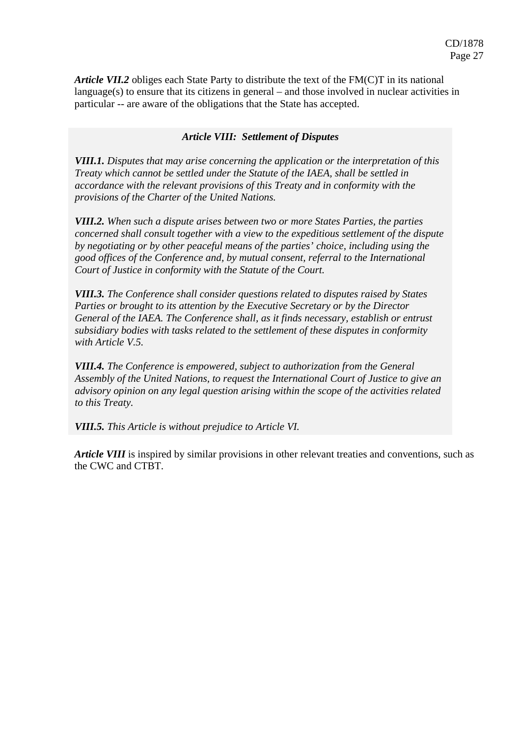*Article VII.2* obliges each State Party to distribute the text of the FM(C)T in its national language(s) to ensure that its citizens in general – and those involved in nuclear activities in particular -- are aware of the obligations that the State has accepted.

#### *Article VIII: Settlement of Disputes Article VIII: Settlement of Disputes*

*VIII.1. Disputes that may arise concerning the application or the interpretation of this Treaty which cannot be settled under the Statute of the IAEA, shall be settled in accordance with the relevant provisions of this Treaty and in conformity with the provisions of the Charter of the United Nations.* 

*VIII.2. When such a dispute arises between two or more States Parties, the parties concerned shall consult together with a view to the expeditious settlement of the dispute by negotiating or by other peaceful means of the parties' choice, including using the good offices of the Conference and, by mutual consent, referral to the International Court of Justice in conformity with the Statute of the Court.* 

*VIII.3. The Conference shall consider questions related to disputes raised by States Parties or brought to its attention by the Executive Secretary or by the Director General of the IAEA. The Conference shall, as it finds necessary, establish or entrust subsidiary bodies with tasks related to the settlement of these disputes in conformity with Article V.5.* 

*VIII.4. The Conference is empowered, subject to authorization from the General Assembly of the United Nations, to request the International Court of Justice to give an advisory opinion on any legal question arising within the scope of the activities related to this Treaty.* 

*VIII.5. This Article is without prejudice to Article VI.*

*Article VIII* is inspired by similar provisions in other relevant treaties and conventions, such as the CWC and CTBT.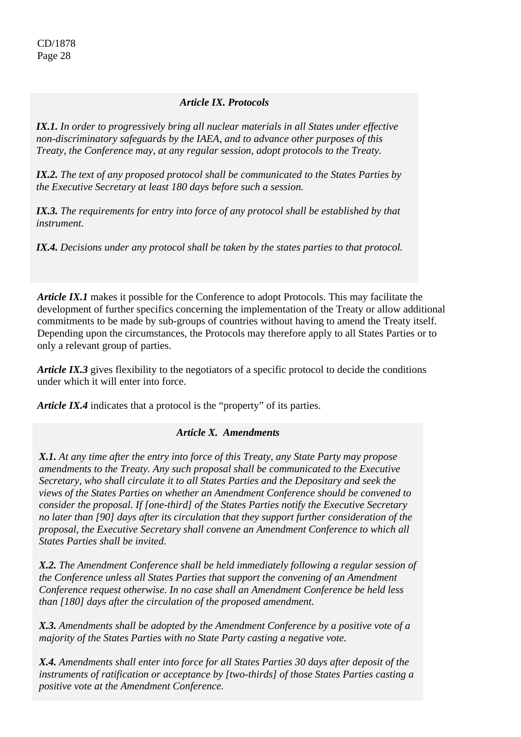## *Article IX. Protocols*

*IX.1. In order to progressively bring all nuclear materials in all States under effective non-discriminatory safeguards by the IAEA, and to advance other purposes of this Treaty, the Conference may, at any regular session, adopt protocols to the Treaty.* 

*IX.2. The text of any proposed protocol shall be communicated to the States Parties by the Executive Secretary at least 180 days before such a session.* 

*IX.3. The requirements for entry into force of any protocol shall be established by that instrument.* 

*IX.4. Decisions under any protocol shall be taken by the states parties to that protocol.* 

*Article IX.1* makes it possible for the Conference to adopt Protocols. This may facilitate the development of further specifics concerning the implementation of the Treaty or allow additional commitments to be made by sub-groups of countries without having to amend the Treaty itself. Depending upon the circumstances, the Protocols may therefore apply to all States Parties or to only a relevant group of parties.

*Article IX.3* gives flexibility to the negotiators of a specific protocol to decide the conditions under which it will enter into force.

*Article IX.4* indicates that a protocol is the "property" of its parties.

#### *Article X. Amendments*

*Article X. Amendments X.1. At any time after the entry into force of this Treaty, any State Party may propose amendments to the Treaty. Any such proposal shall be communicated to the Executive Secretary, who shall circulate it to all States Parties and the Depositary and seek the views of the States Parties on whether an Amendment Conference should be convened to consider the proposal. If [one-third] of the States Parties notify the Executive Secretary no later than [90] days after its circulation that they support further consideration of the proposal, the Executive Secretary shall convene an Amendment Conference to which all States Parties shall be invited.* 

*X.2. The Amendment Conference shall be held immediately following a regular session of the Conference unless all States Parties that support the convening of an Amendment Conference request otherwise. In no case shall an Amendment Conference be held less than [180] days after the circulation of the proposed amendment.* 

*X.3. Amendments shall be adopted by the Amendment Conference by a positive vote of a majority of the States Parties with no State Party casting a negative vote.* 

*X.4. Amendments shall enter into force for all States Parties 30 days after deposit of the instruments of ratification or acceptance by [two-thirds] of those States Parties casting a positive vote at the Amendment Conference.*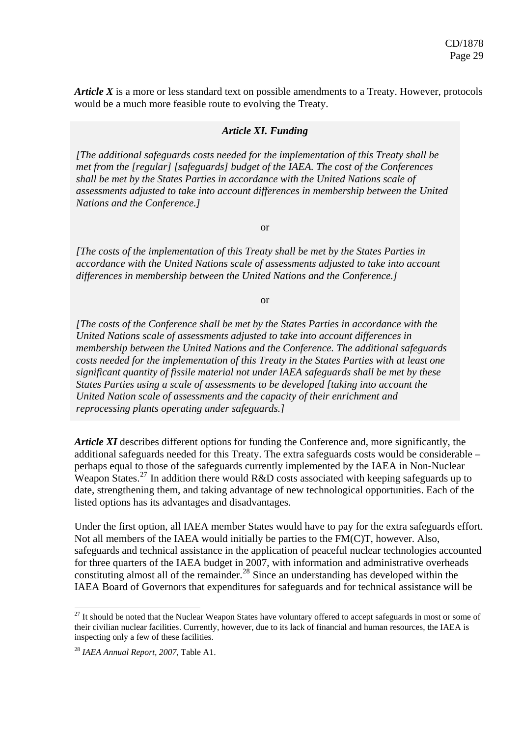*Article X* is a more or less standard text on possible amendments to a Treaty. However, protocols would be a much more feasible route to evolving the Treaty.

#### *Article XI. Funding*

*[The additional safeguards costs needed for the implementation of this Treaty shall be met from the [regular] [safeguards] budget of the IAEA. The cost of the Conferences shall be met by the States Parties in accordance with the United Nations scale of assessments adjusted to take into account differences in membership between the United Nations and the Conference.]* 

or

*Article XI. Funding accordance with the United Nations scale of assessments adjusted to take into account [The costs of the implementation of this Treaty shall be met by the States Parties in differences in membership between the United Nations and the Conference.]* 

or

*[The costs of the Conference shall be met by the States Parties in accordance with the United Nations scale of assessments adjusted to take into account differences in membership between the United Nations and the Conference. The additional safeguards costs needed for the implementation of this Treaty in the States Parties with at least one significant quantity of fissile material not under IAEA safeguards shall be met by these States Parties using a scale of assessments to be developed [taking into account the United Nation scale of assessments and the capacity of their enrichment and reprocessing plants operating under safeguards.]* 

*Article XI* describes different options for funding the Conference and, more significantly, the additional safeguards needed for this Treaty. The extra safeguards costs would be considerable – perhaps equal to those of the safeguards currently implemented by the IAEA in Non-Nuclear Weapon States.<sup>[27](#page-28-0)</sup> In addition there would R&D costs associated with keeping safeguards up to date, strengthening them, and taking advantage of new technological opportunities. Each of the listed options has its advantages and disadvantages.

Under the first option, all IAEA member States would have to pay for the extra safeguards effort. Not all members of the IAEA would initially be parties to the FM(C)T, however. Also, safeguards and technical assistance in the application of peaceful nuclear technologies accounted for three quarters of the IAEA budget in 2007, with information and administrative overheads constituting almost all of the remainder.<sup>[28](#page-28-1)</sup> Since an understanding has developed within the IAEA Board of Governors that expenditures for safeguards and for technical assistance will be

1

<span id="page-28-0"></span> $27$  It should be noted that the Nuclear Weapon States have voluntary offered to accept safeguards in most or some of their civilian nuclear facilities. Currently, however, due to its lack of financial and human resources, the IAEA is inspecting only a few of these facilities.

<span id="page-28-1"></span><sup>28</sup> *IAEA Annual Report, 2007,* Table A1.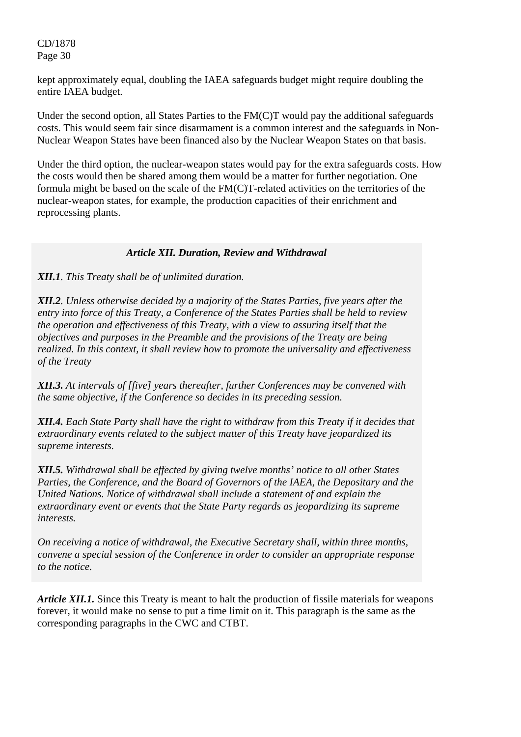kept approximately equal, doubling the IAEA safeguards budget might require doubling the entire IAEA budget.

Under the second option, all States Parties to the FM(C)T would pay the additional safeguards costs. This would seem fair since disarmament is a common interest and the safeguards in Non-Nuclear Weapon States have been financed also by the Nuclear Weapon States on that basis.

Under the third option, the nuclear-weapon states would pay for the extra safeguards costs. How the costs would then be shared among them would be a matter for further negotiation. One formula might be based on the scale of the FM(C)T-related activities on the territories of the nuclear-weapon states, for example, the production capacities of their enrichment and reprocessing plants.

#### *Article XII. Duration, Review and Withdrawal*

#### *XII.1. This Treaty shall be of unlimited duration.*

*XII.2. Unless otherwise decided by a majority of the States Parties, five years after the entry into force of this Treaty, a Conference of the States Parties shall be held to review the operation and effectiveness of this Treaty, with a view to assuring itself that the objectives and purposes in the Preamble and the provisions of the Treaty are being realized. In this context, it shall review how to promote the universality and effectiveness of the Treaty* 

*XII.3. At intervals of [five] years thereafter, further Conferences may be convened with the same objective, if the Conference so decides in its preceding session.* 

*XII.4. Each State Party shall have the right to withdraw from this Treaty if it decides that extraordinary events related to the subject matter of this Treaty have jeopardized its supreme interests.* 

*XII.5. Withdrawal shall be effected by giving twelve months' notice to all other States Parties, the Conference, and the Board of Governors of the IAEA, the Depositary and the United Nations. Notice of withdrawal shall include a statement of and explain the extraordinary event or events that the State Party regards as jeopardizing its supreme interests.* 

 *On receiving a notice of withdrawal, the Executive Secretary shall, within three months, convene a special session of the Conference in order to consider an appropriate response to the notice.* 

*Article XII.1.* Since this Treaty is meant to halt the production of fissile materials for weapons forever, it would make no sense to put a time limit on it. This paragraph is the same as the corresponding paragraphs in the CWC and CTBT.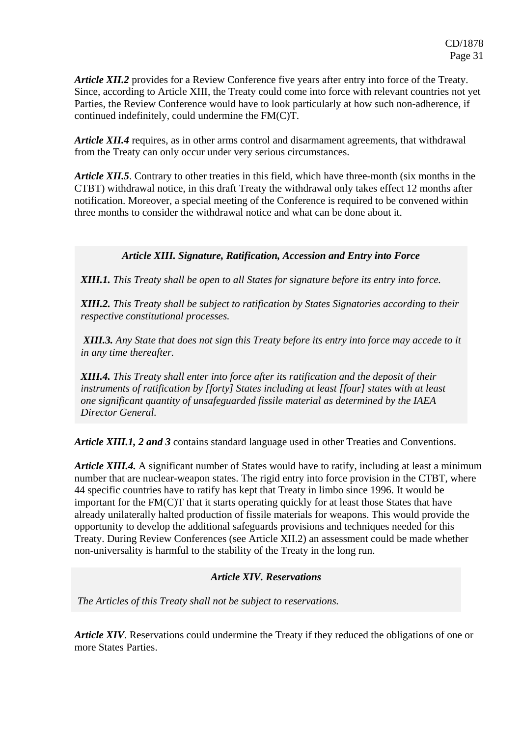*Article XII.2* provides for a Review Conference five years after entry into force of the Treaty. Since, according to Article XIII, the Treaty could come into force with relevant countries not yet Parties, the Review Conference would have to look particularly at how such non-adherence, if continued indefinitely, could undermine the FM(C)T.

*Article XII.4* requires, as in other arms control and disarmament agreements, that withdrawal from the Treaty can only occur under very serious circumstances.

*Article XII.5*. Contrary to other treaties in this field, which have three-month (six months in the CTBT) withdrawal notice, in this draft Treaty the withdrawal only takes effect 12 months after notification. Moreover, a special meeting of the Conference is required to be convened within three months to consider the withdrawal notice and what can be done about it.

## *Article XIII. Signature, Ratification, Accession and Entry into Force*

*XIII.1. This Treaty shall be open to all States for signature before its entry into force.* 

*XIII.2. This Treaty shall be subject to ratification by States Signatories according to their respective constitutional processes.* 

 *XIII.3. Any State that does not sign this Treaty before its entry into force may accede to it in any time thereafter.* 

*XIII.4. This Treaty shall enter into force after its ratification and the deposit of their instruments of ratification by [forty] States including at least [four] states with at least one significant quantity of unsafeguarded fissile material as determined by the IAEA Director General.*

*Article XIII.1, 2 and 3* contains standard language used in other Treaties and Conventions.

*Article XIII.4.* A significant number of States would have to ratify, including at least a minimum number that are nuclear-weapon states. The rigid entry into force provision in the CTBT, where 44 specific countries have to ratify has kept that Treaty in limbo since 1996. It would be important for the FM(C)T that it starts operating quickly for at least those States that have already unilaterally halted production of fissile materials for weapons. This would provide the opportunity to develop the additional safeguards provisions and techniques needed for this Treaty. During Review Conferences (see Article XII.2) an assessment could be made whether non-universality is harmful to the stability of the Treaty in the long run.

#### *Article XIV. Reservations*

*The Articles of this Treaty shall not be subject to reservations.* 

*Article XIV*. Reservations could undermine the Treaty if they reduced the obligations of one or more States Parties.